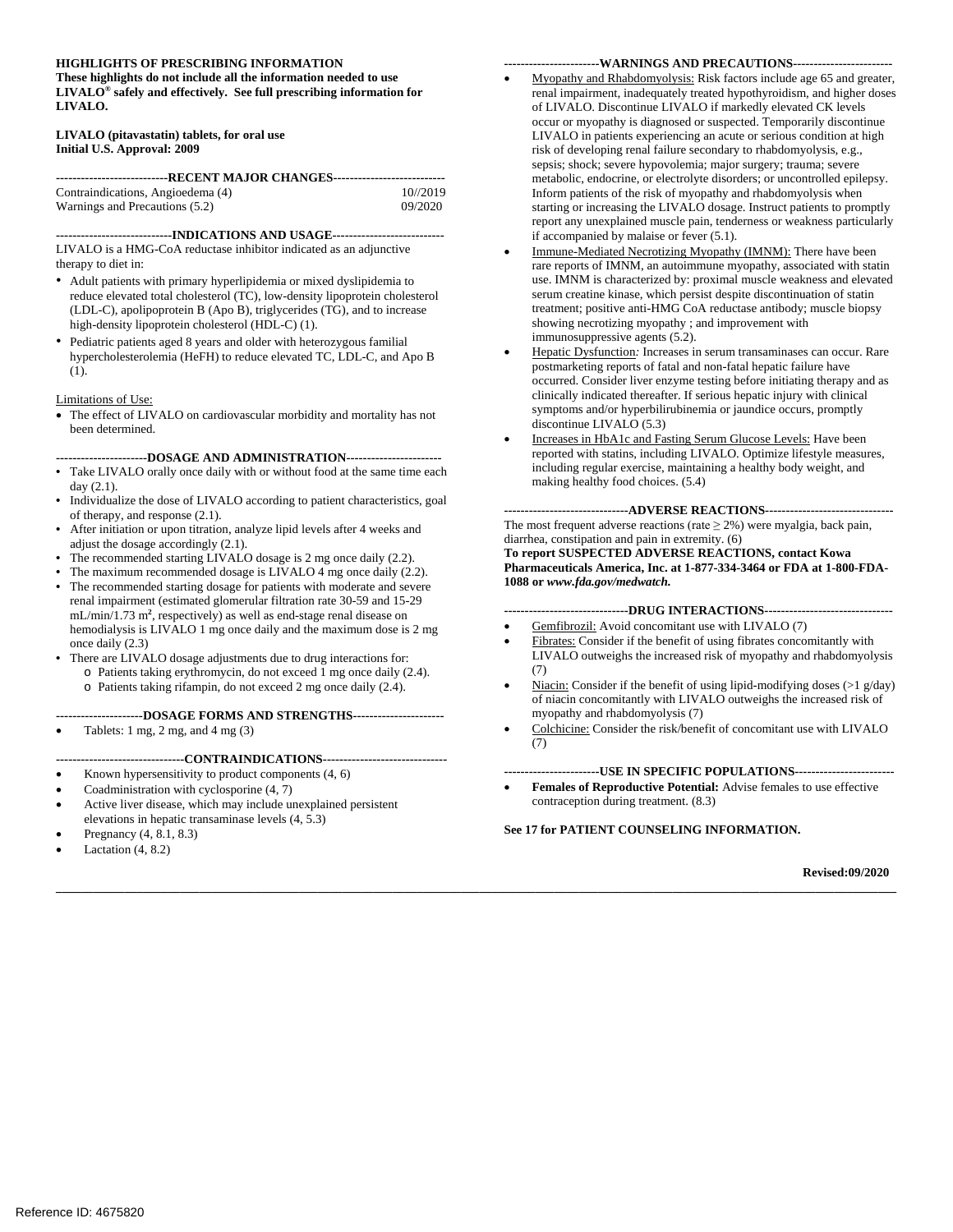#### **HIGHLIGHTS OF PRESCRIBING INFORMATION -----------------------WARNINGS AND PRECAUTIONS-----------------------**

 **LIVALO® safely and effectively. See full prescribing information for These highlights do not include all the information needed to use LIVALO. LIVALO (pitavastatin) tablets, for oral use** 

# **Initial U.S. Approval: 2009**

| ---------------------------RECENT MAJOR CHANGES---------------------------- |          |  |  |  |  |
|-----------------------------------------------------------------------------|----------|--|--|--|--|
| Contraindications, Angioedema (4)                                           | 10//2019 |  |  |  |  |
| Warnings and Precautions (5.2)                                              | 09/2020  |  |  |  |  |

**----------------------------INDICATIONS AND USAGE--------------------------**

 LIVALO is a HMG-CoA reductase inhibitor indicated as an adjunctive therapy to diet in:

- • Adult patients with primary hyperlipidemia or mixed dyslipidemia to high-density lipoprotein cholesterol (HDL-C) (1). reduce elevated total cholesterol (TC), low-density lipoprotein cholesterol (LDL-C), apolipoprotein B (Apo B), triglycerides (TG), and to increase
- • Pediatric patients aged 8 years and older with heterozygous familial hypercholesterolemia (HeFH) to reduce elevated TC, LDL-C, and Apo B (1).

#### Limitations of Use:

• The effect of LIVALO on cardiovascular morbidity and mortality has not been determined.

**----------------------DOSAGE AND ADMINISTRATION----------------------**

- Take LIVALO orally once daily with or without food at the same time each day (2.1).
- of therapy, and response (2.1). Individualize the dose of LIVALO according to patient characteristics, goal
- After initiation or upon titration, analyze lipid levels after 4 weeks and adjust the dosage accordingly (2.1).
- The recommended starting LIVALO dosage is 2 mg once daily (2.2).
- The maximum recommended dosage is LIVALO 4 mg once daily (2.2).
- **•** The recommended starting dosage for patients with moderate and severe renal impairment (estimated glomerular filtration rate 30-59 and 15-29 hemodialysis is LIVALO 1 mg once daily and the maximum dose is 2 mg once daily (2.3) mL/min/1.73 m**<sup>2</sup>** , respectively) as well as end-stage renal disease on
- There are LIVALO dosage adjustments due to drug interactions for:
	- o Patients taking erythromycin, do not exceed 1 mg once daily (2.4). o Patients taking rifampin, do not exceed 2 mg once daily (2.4).

#### **---------------------DOSAGE FORMS AND STRENGTHS---------------------**

Tablets:  $1 \text{ mg}$ ,  $2 \text{ mg}$ , and  $4 \text{ mg}$  (3)

#### **-------------------------------CONTRAINDICATIONS-----------------------------**

- Known hypersensitivity to product components  $(4, 6)$
- Coadministration with cyclosporine  $(4, 7)$
- Active liver disease, which may include unexplained persistent elevations in hepatic transaminase levels (4, 5.3)
- Pregnancy  $(4, 8.1, 8.3)$
- Lactation  $(4, 8.2)$

- Myopathy and Rhabdomyolysis: Risk factors include age 65 and greater, of LIVALO. Discontinue LIVALO if markedly elevated CK levels if accompanied by malaise or fever (5.1). renal impairment, inadequately treated hypothyroidism, and higher doses occur or myopathy is diagnosed or suspected. Temporarily discontinue LIVALO in patients experiencing an acute or serious condition at high risk of developing renal failure secondary to rhabdomyolysis, e.g., sepsis; shock; severe hypovolemia; major surgery; trauma; severe metabolic, endocrine, or electrolyte disorders; or uncontrolled epilepsy. Inform patients of the risk of myopathy and rhabdomyolysis when starting or increasing the LIVALO dosage. Instruct patients to promptly report any unexplained muscle pain, tenderness or weakness particularly
- rare reports of IMNM, an autoimmune myopathy, associated with statin immunosuppressive agents (5.2). Immune-Mediated Necrotizing Myopathy (IMNM): There have been use. IMNM is characterized by: proximal muscle weakness and elevated serum creatine kinase, which persist despite discontinuation of statin treatment; positive anti-HMG CoA reductase antibody; muscle biopsy showing necrotizing myopathy ; and improvement with
- • Hepatic Dysfunction*:* Increases in serum transaminases can occur. Rare postmarketing reports of fatal and non-fatal hepatic failure have occurred. Consider liver enzyme testing before initiating therapy and as discontinue LIVALO (5.3) clinically indicated thereafter. If serious hepatic injury with clinical symptoms and/or hyperbilirubinemia or jaundice occurs, promptly
- Increases in HbA1c and Fasting Serum Glucose Levels: Have been including regular exercise, maintaining a healthy body weight, and making healthy food choices. (5.4) reported with statins, including LIVALO. Optimize lifestyle measures,

The most frequent adverse reactions (rate  $\geq 2\%$ ) were myalgia, back pain, diarrhea, constipation and pain in extremity. (6) **------------------------------ADVERSE REACTIONS------------------------------**

 **To report SUSPECTED ADVERSE REACTIONS, contact Kowa Pharmaceuticals America, Inc. at 1-877-334-3464 or FDA at 1-800-FDA-1088 or** *www.fda.gov/medwatch.* 

#### **------------------------------DRUG INTERACTIONS------------------------------**

- Gemfibrozil: Avoid concomitant use with LIVALO (7)
- Fibrates: Consider if the benefit of using fibrates concomitantly with LIVALO outweighs the increased risk of myopathy and rhabdomyolysis (7)
- myopathy and rhabdomyolysis (7) Niacin: Consider if the benefit of using lipid-modifying doses  $(>1 \text{ g/day})$ of niacin concomitantly with LIVALO outweighs the increased risk of
- Colchicine: Consider the risk/benefit of concomitant use with LIVALO (7)

#### **-----------------------USE IN SPECIFIC POPULATIONS-----------------------**

Females of Reproductive Potential: Advise females to use effective contraception during treatment. (8.3)

**See 17 for PATIENT COUNSELING INFORMATION.** 

**\_\_\_\_\_\_\_\_\_\_\_\_\_\_\_\_\_\_\_\_\_\_\_\_\_\_\_\_\_\_\_\_\_\_\_\_\_\_\_\_\_\_\_\_\_\_\_\_\_\_\_\_\_\_\_\_\_\_\_\_\_\_\_\_\_\_\_\_\_\_\_\_\_\_\_\_\_\_\_\_\_\_\_\_\_\_\_\_\_\_\_\_\_\_\_\_\_\_\_\_\_\_\_\_\_\_\_\_\_\_\_\_\_\_\_\_\_\_\_\_\_\_\_\_\_\_\_\_\_\_\_\_\_\_\_**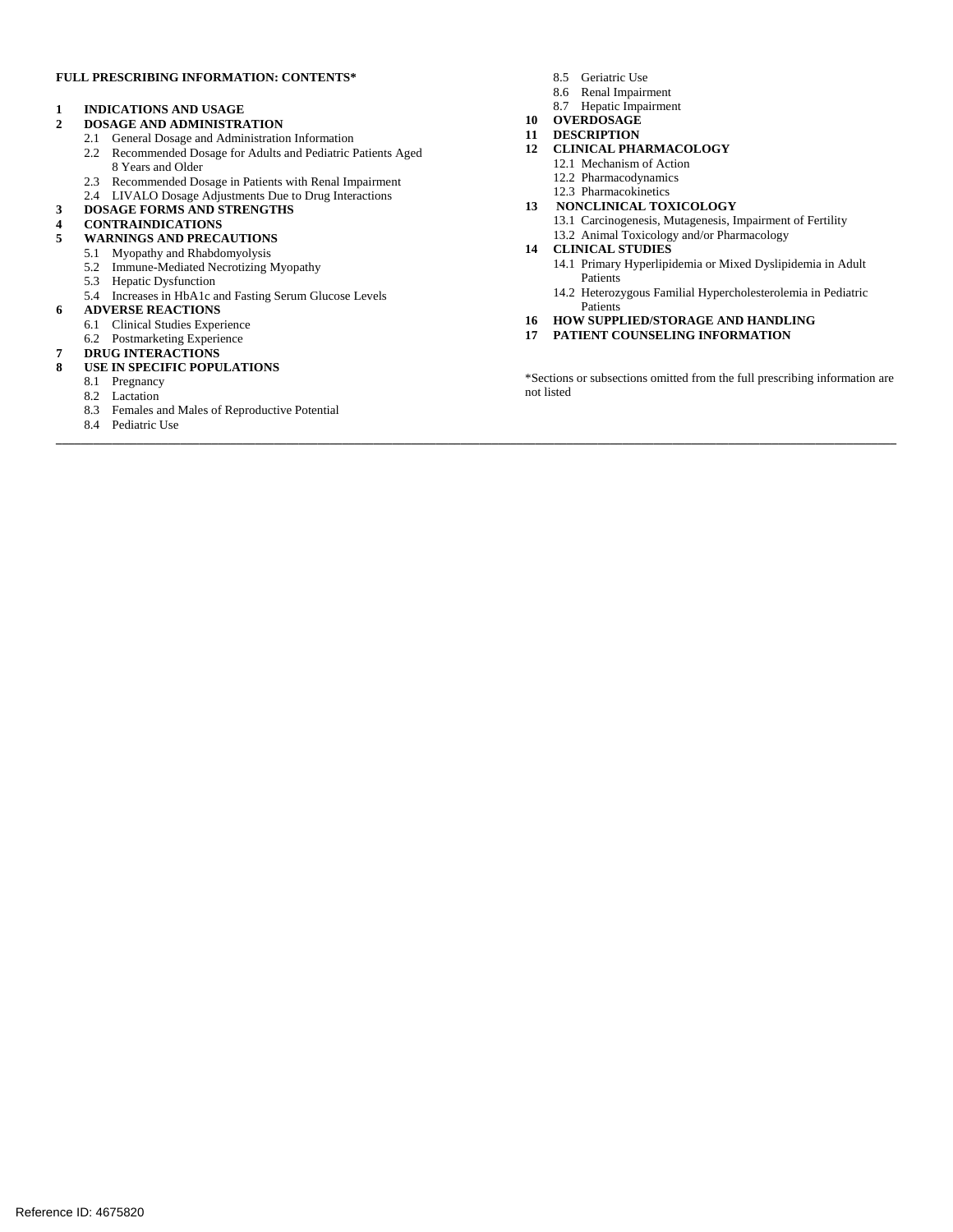#### **FULL PRESCRIBING INFORMATION: CONTENTS\***

# **1 INDICATIONS AND USAGE**

- **2 DOSAGE AND ADMINISTRATION**
- 2.1 General Dosage and Administration Information
- 2.2 Recommended Dosage for Adults and Pediatric Patients Aged 8 Years and Older
- 2.3 Recommended Dosage in Patients with Renal Impairment
- 2.4 LIVALO Dosage Adjustments Due to Drug Interactions

## **3 DOSAGE FORMS AND STRENGTHS**

# **4 CONTRAINDICATIONS**

#### **5 WARNINGS AND PRECAUTIONS**

- 5.1 Myopathy and Rhabdomyolysis
- 5.2 Immune-Mediated Necrotizing Myopathy
- 5.3 Hepatic Dysfunction
- 5.3 Hepatic Dysfunction<br>5.4 Increases in HbA1c and Fasting Serum Glucose Levels
- **6 ADVERSE REACTIONS** 
	- 6.1 Clinical Studies Experience
	- 6.2 Postmarketing Experience
- **7 DRUG INTERACTIONS**

#### **8 USE IN SPECIFIC POPULATIONS**

- 8.1 Pregnancy
- 8.2 Lactation
- 8.3 Females and Males of Reproductive Potential
- 8.4 Pediatric Use
- 8.5 Geriatric Use
- 8.6 Renal Impairment
- 8.7 Hepatic Impairment
- **10 OVERDOSAGE**
- **11 DESCRIPTION**
- **12 CLINICAL PHARMACOLOGY** 
	- 12.1 Mechanism of Action
		- 12.2 Pharmacodynamics
		- 12.3 Pharmacokinetics
- **13 NONCLINICAL TOXICOLOGY** 
	- 13.1 Carcinogenesis, Mutagenesis, Impairment of Fertility 13.2 Animal Toxicology and/or Pharmacology
- **14 CLINICAL STUDIES**

**\_\_\_\_\_\_\_\_\_\_\_\_\_\_\_\_\_\_\_\_\_\_\_\_\_\_\_\_\_\_\_\_\_\_\_\_\_\_\_\_\_\_\_\_\_\_\_\_\_\_\_\_\_\_\_\_\_\_\_\_\_\_\_\_\_\_\_\_\_\_\_\_\_\_\_\_\_\_\_\_\_\_\_\_\_\_\_\_\_\_\_\_\_\_\_\_\_\_\_\_\_\_\_\_\_\_\_\_\_\_\_\_\_\_\_\_\_\_\_\_\_\_\_\_\_\_\_\_\_\_\_\_\_\_\_** 

- 14.1 Primary Hyperlipidemia or Mixed Dyslipidemia in Adult Patients
- 14.2 Heterozygous Familial Hypercholesterolemia in Pediatric Patients
- **16 HOW SUPPLIED/STORAGE AND HANDLING**
- **17 PATIENT COUNSELING INFORMATION**

\*Sections or subsections omitted from the full prescribing information are not listed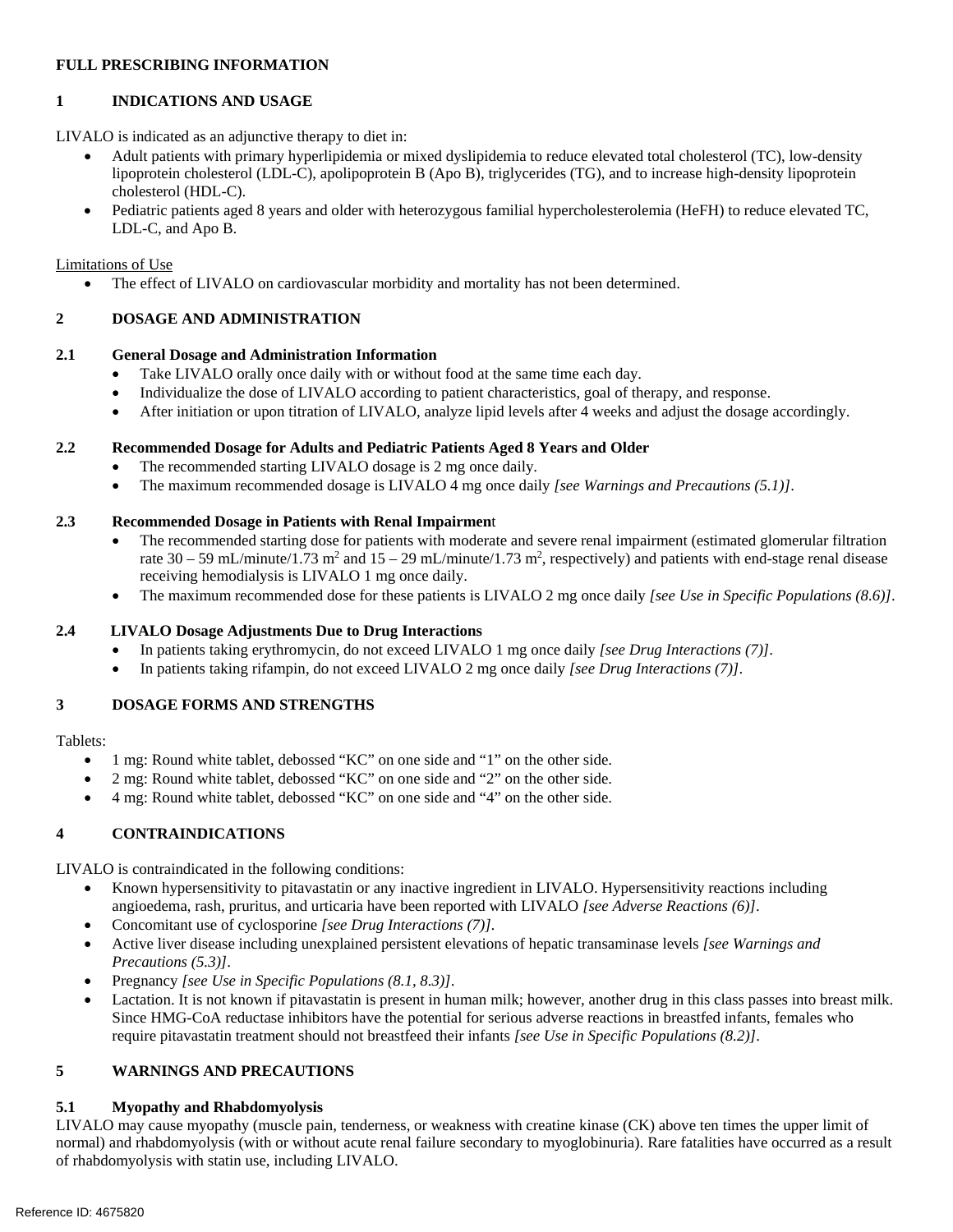# **FULL PRESCRIBING INFORMATION**

# **1 INDICATIONS AND USAGE**

LIVALO is indicated as an adjunctive therapy to diet in:

- • Adult patients with primary hyperlipidemia or mixed dyslipidemia to reduce elevated total cholesterol (TC), low-density lipoprotein cholesterol (LDL-C), apolipoprotein B (Apo B), triglycerides (TG), and to increase high-density lipoprotein cholesterol (HDL-C).
- • Pediatric patients aged 8 years and older with heterozygous familial hypercholesterolemia (HeFH) to reduce elevated TC, LDL-C, and Apo B.

Limitations of Use

• The effect of LIVALO on cardiovascular morbidity and mortality has not been determined.

### **2 DOSAGE AND ADMINISTRATION**

#### **2.1 General Dosage and Administration Information**

- Take LIVALO orally once daily with or without food at the same time each day.
- Individualize the dose of LIVALO according to patient characteristics, goal of therapy, and response.
- • After initiation or upon titration of LIVALO, analyze lipid levels after 4 weeks and adjust the dosage accordingly.

# **2.2 Recommended Dosage for Adults and Pediatric Patients Aged 8 Years and Older**

- The recommended starting LIVALO dosage is 2 mg once daily.
- • The maximum recommended dosage is LIVALO 4 mg once daily *[see Warnings and Precautions (5.1)]*.

### **2.3 Recommended Dosage in Patients with Renal Impairmen**t

- The recommended starting dose for patients with moderate and severe renal impairment (estimated glomerular filtration rate  $30 - 59$  mL/minute/1.73 m<sup>2</sup> and  $15 - 29$  mL/minute/1.73 m<sup>2</sup>, respectively) and patients with end-stage renal disease receiving hemodialysis is LIVALO 1 mg once daily.
- • The maximum recommended dose for these patients is LIVALO 2 mg once daily *[see Use in Specific Populations (8.6)]*.

#### **2.4 LIVALO Dosage Adjustments Due to Drug Interactions**

- • In patients taking erythromycin, do not exceed LIVALO 1 mg once daily *[see Drug Interactions (7)]*.
- • In patients taking rifampin, do not exceed LIVALO 2 mg once daily *[see Drug Interactions (7)]*.

### **3 DOSAGE FORMS AND STRENGTHS**

# Tablets:

- 1 mg: Round white tablet, debossed "KC" on one side and "1" on the other side.
- 2 mg: Round white tablet, debossed "KC" on one side and "2" on the other side.
- • 4 mg: Round white tablet, debossed "KC" on one side and "4" on the other side.

### **4 CONTRAINDICATIONS**

LIVALO is contraindicated in the following conditions:

- • Known hypersensitivity to pitavastatin or any inactive ingredient in LIVALO. Hypersensitivity reactions including angioedema, rash, pruritus, and urticaria have been reported with LIVALO *[see Adverse Reactions (6)]*.
- • Concomitant use of cyclosporine *[see Drug Interactions (7)].*
- • Active liver disease including unexplained persistent elevations of hepatic transaminase levels *[see Warnings and Precautions (5.3)]*.
- • Pregnancy *[see Use in Specific Populations (8.1, 8.3)]*.
- Lactation. It is not known if pitavastatin is present in human milk; however, another drug in this class passes into breast milk. Since HMG-CoA reductase inhibitors have the potential for serious adverse reactions in breastfed infants, females who require pitavastatin treatment should not breastfeed their infants *[see Use in Specific Populations (8.2)]*.

### **5 WARNINGS AND PRECAUTIONS**

## **5.1 Myopathy and Rhabdomyolysis**

 LIVALO may cause myopathy (muscle pain, tenderness, or weakness with creatine kinase (CK) above ten times the upper limit of normal) and rhabdomyolysis (with or without acute renal failure secondary to myoglobinuria). Rare fatalities have occurred as a result of rhabdomyolysis with statin use, including LIVALO.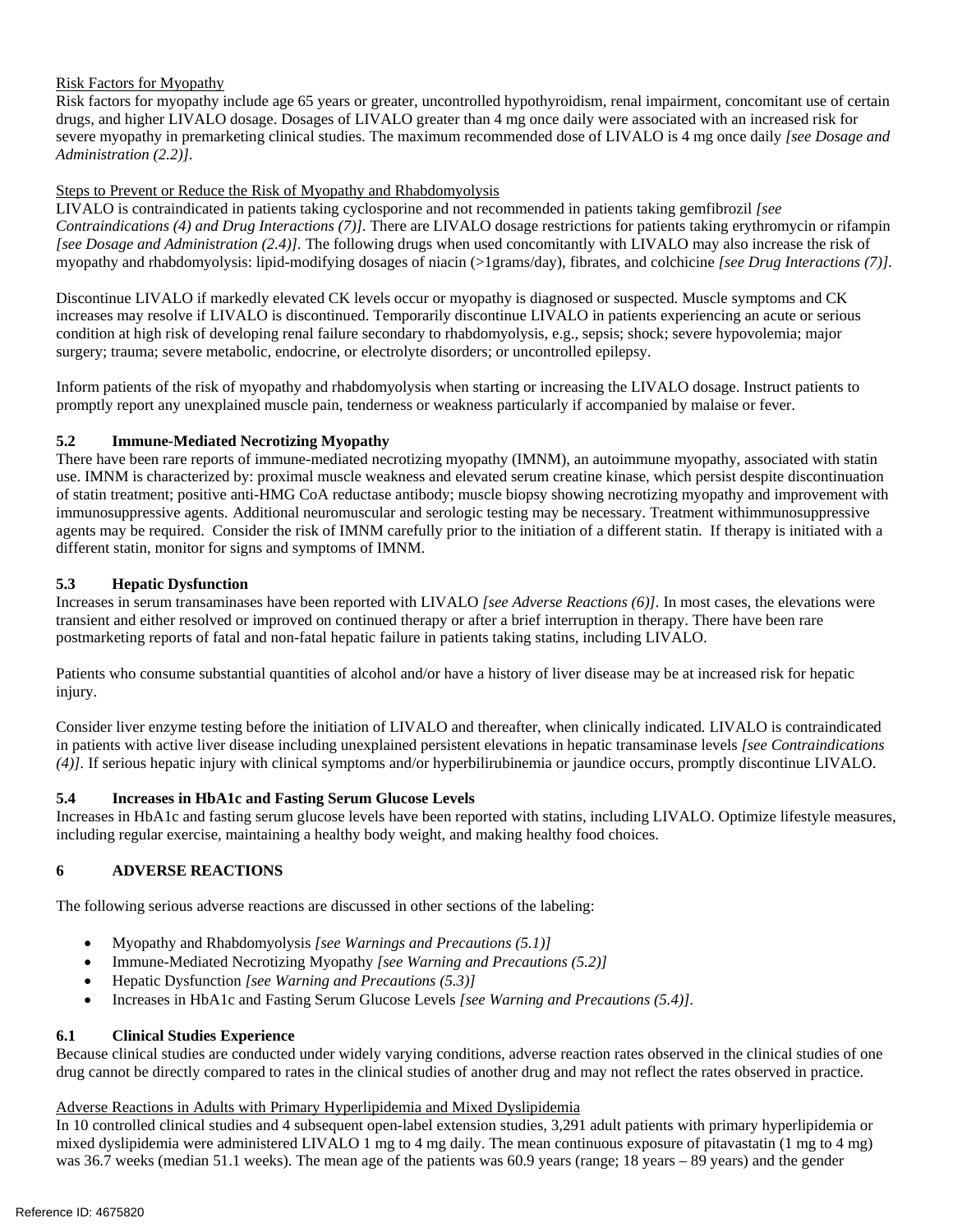# Risk Factors for Myopathy

 Risk factors for myopathy include age 65 years or greater, uncontrolled hypothyroidism, renal impairment, concomitant use of certain drugs, and higher LIVALO dosage. Dosages of LIVALO greater than 4 mg once daily were associated with an increased risk for severe myopathy in premarketing clinical studies. The maximum recommended dose of LIVALO is 4 mg once daily *[see Dosage and Administration (2.2)].* 

# Steps to Prevent or Reduce the Risk of Myopathy and Rhabdomyolysis

 LIVALO is contraindicated in patients taking cyclosporine and not recommended in patients taking gemfibrozil *[see Contraindications (4) and Drug Interactions (7)].* There are LIVALO dosage restrictions for patients taking erythromycin or rifampin [see Dosage and Administration (2.4)]. The following drugs when used concomitantly with LIVALO may also increase the risk of myopathy and rhabdomyolysis: lipid-modifying dosages of niacin (>1grams/day), fibrates, and colchicine *[see Drug Interactions (7)].* 

 Discontinue LIVALO if markedly elevated CK levels occur or myopathy is diagnosed or suspected. Muscle symptoms and CK increases may resolve if LIVALO is discontinued. Temporarily discontinue LIVALO in patients experiencing an acute or serious condition at high risk of developing renal failure secondary to rhabdomyolysis, e.g., sepsis; shock; severe hypovolemia; major surgery; trauma; severe metabolic, endocrine, or electrolyte disorders; or uncontrolled epilepsy.

 Inform patients of the risk of myopathy and rhabdomyolysis when starting or increasing the LIVALO dosage. Instruct patients to promptly report any unexplained muscle pain, tenderness or weakness particularly if accompanied by malaise or fever.

# **5.2 Immune-Mediated Necrotizing Myopathy**

 There have been rare reports of immune-mediated necrotizing myopathy (IMNM), an autoimmune myopathy, associated with statin use. IMNM is characterized by: proximal muscle weakness and elevated serum creatine kinase, which persist despite discontinuation of statin treatment; positive anti-HMG CoA reductase antibody; muscle biopsy showing necrotizing myopathy and improvement with immunosuppressive agents. Additional neuromuscular and serologic testing may be necessary. Treatment withimmunosuppressive agents may be required. Consider the risk of IMNM carefully prior to the initiation of a different statin. If therapy is initiated with a different statin, monitor for signs and symptoms of IMNM.

# **5.3 Hepatic Dysfunction**

 Increases in serum transaminases have been reported with LIVALO *[see Adverse Reactions (6)].* In most cases, the elevations were transient and either resolved or improved on continued therapy or after a brief interruption in therapy. There have been rare postmarketing reports of fatal and non-fatal hepatic failure in patients taking statins, including LIVALO.

 Patients who consume substantial quantities of alcohol and/or have a history of liver disease may be at increased risk for hepatic injury.

 Consider liver enzyme testing before the initiation of LIVALO and thereafter, when clinically indicated*.* LIVALO is contraindicated in patients with active liver disease including unexplained persistent elevations in hepatic transaminase levels *[see Contraindications (4)].* If serious hepatic injury with clinical symptoms and/or hyperbilirubinemia or jaundice occurs, promptly discontinue LIVALO.

# **5.4 Increases in HbA1c and Fasting Serum Glucose Levels**

 Increases in HbA1c and fasting serum glucose levels have been reported with statins, including LIVALO. Optimize lifestyle measures, including regular exercise, maintaining a healthy body weight, and making healthy food choices.

#### **6 ADVERSE REACTIONS**

The following serious adverse reactions are discussed in other sections of the labeling:

- Myopathy and Rhabdomyolysis *[see Warnings and Precautions (5.1)]*
- Immune-Mediated Necrotizing Myopathy *[see Warning and Precautions (5.2)]*
- Hepatic Dysfunction *[see Warning and Precautions (5.3)]*
- Increases in HbA1c and Fasting Serum Glucose Levels *[see Warning and Precautions (5.4)].*

# **6.1 Clinical Studies Experience**

 Because clinical studies are conducted under widely varying conditions, adverse reaction rates observed in the clinical studies of one drug cannot be directly compared to rates in the clinical studies of another drug and may not reflect the rates observed in practice.

### Adverse Reactions in Adults with Primary Hyperlipidemia and Mixed Dyslipidemia

 In 10 controlled clinical studies and 4 subsequent open-label extension studies, 3,291 adult patients with primary hyperlipidemia or mixed dyslipidemia were administered LIVALO 1 mg to 4 mg daily. The mean continuous exposure of pitavastatin (1 mg to 4 mg) was 36.7 weeks (median 51.1 weeks). The mean age of the patients was 60.9 years (range; 18 years – 89 years) and the gender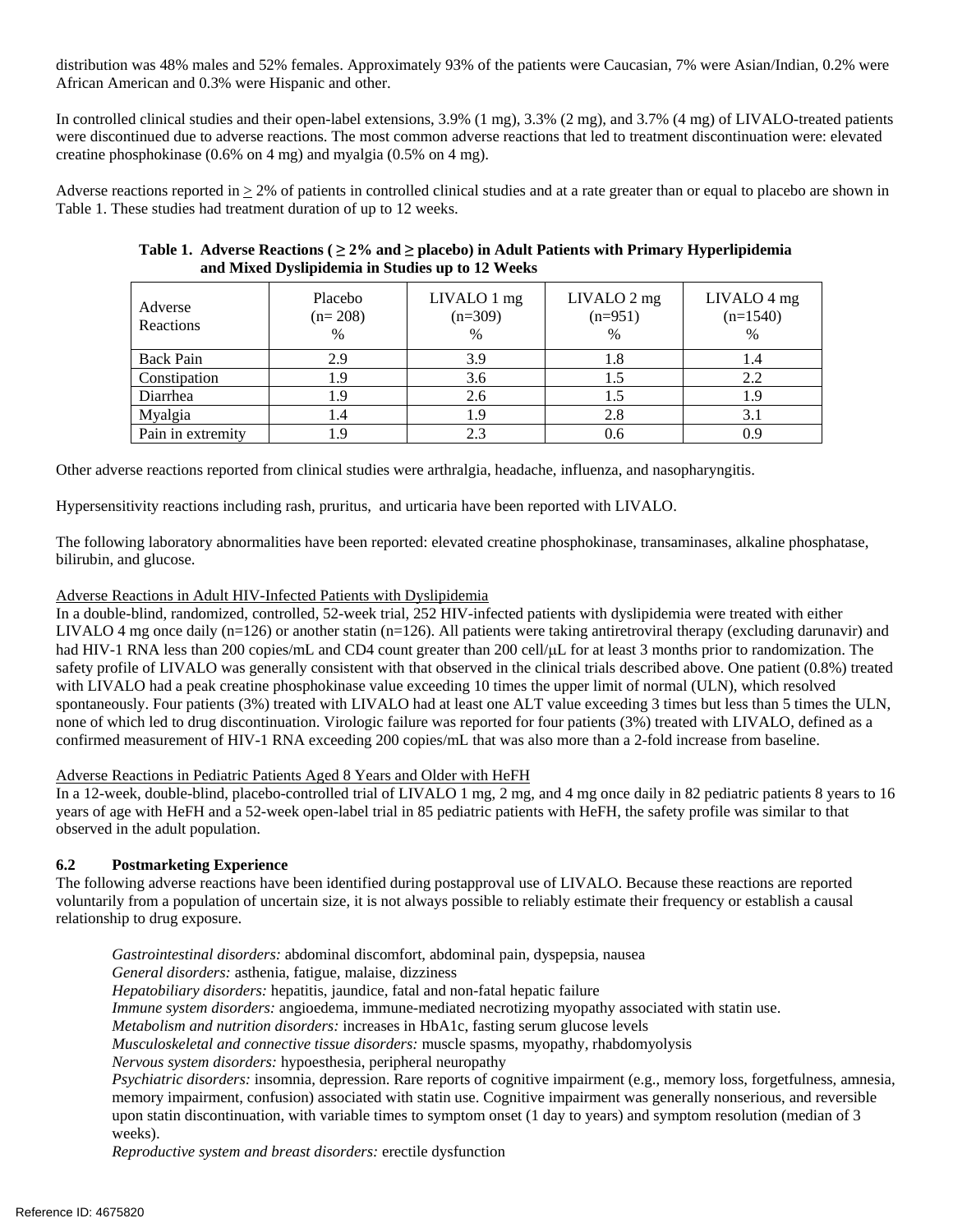distribution was 48% males and 52% females. Approximately 93% of the patients were Caucasian, 7% were Asian/Indian, 0.2% were African American and 0.3% were Hispanic and other.

 In controlled clinical studies and their open-label extensions, 3.9% (1 mg), 3.3% (2 mg), and 3.7% (4 mg) of LIVALO-treated patients were discontinued due to adverse reactions. The most common adverse reactions that led to treatment discontinuation were: elevated creatine phosphokinase (0.6% on 4 mg) and myalgia (0.5% on 4 mg).

Adverse reactions reported in  $\geq$  2% of patients in controlled clinical studies and at a rate greater than or equal to placebo are shown in Table 1. These studies had treatment duration of up to 12 weeks.

| Adverse<br>Reactions | Placebo<br>$(n=208)$<br>$\%$ | LIVALO 1 mg<br>$(n=309)$<br>$\frac{0}{0}$ | LIVALO 2 mg<br>$(n=951)$<br>$\frac{0}{0}$ | LIVALO 4 mg<br>$(n=1540)$<br>$\frac{0}{0}$ |
|----------------------|------------------------------|-------------------------------------------|-------------------------------------------|--------------------------------------------|
| <b>Back Pain</b>     | 2.9                          | 3.9                                       | 1.8                                       | 1.4                                        |
| Constipation         | l .9                         | 3.6                                       |                                           | 2.2                                        |
| Diarrhea             | l .9                         | 2.6                                       |                                           | 9. ا                                       |
| Myalgia              | 1.4                          | - 9                                       | 2.8                                       | 3.1                                        |
| Pain in extremity    | !.9                          |                                           | 0.6                                       |                                            |

# **Table 1. Adverse Reactions ( ≥ 2% and ≥ placebo) in Adult Patients with Primary Hyperlipidemia and Mixed Dyslipidemia in Studies up to 12 Weeks**

Other adverse reactions reported from clinical studies were arthralgia, headache, influenza, and nasopharyngitis.

Hypersensitivity reactions including rash, pruritus, and urticaria have been reported with LIVALO.

 The following laboratory abnormalities have been reported: elevated creatine phosphokinase, transaminases, alkaline phosphatase, bilirubin, and glucose.

## Adverse Reactions in Adult HIV-Infected Patients with Dyslipidemia

 In a double-blind, randomized, controlled, 52-week trial, 252 HIV-infected patients with dyslipidemia were treated with either LIVALO 4 mg once daily (n=126) or another statin (n=126). All patients were taking antiretroviral therapy (excluding darunavir) and had HIV-1 RNA less than 200 copies/mL and CD4 count greater than 200 cell/ $\mu$ L for at least 3 months prior to randomization. The safety profile of LIVALO was generally consistent with that observed in the clinical trials described above. One patient (0.8%) treated with LIVALO had a peak creatine phosphokinase value exceeding 10 times the upper limit of normal (ULN), which resolved spontaneously. Four patients (3%) treated with LIVALO had at least one ALT value exceeding 3 times but less than 5 times the ULN, none of which led to drug discontinuation. Virologic failure was reported for four patients (3%) treated with LIVALO, defined as a confirmed measurement of HIV-1 RNA exceeding 200 copies/mL that was also more than a 2-fold increase from baseline.

### Adverse Reactions in Pediatric Patients Aged 8 Years and Older with HeFH

 In a 12-week, double-blind, placebo-controlled trial of LIVALO 1 mg, 2 mg, and 4 mg once daily in 82 pediatric patients 8 years to 16 years of age with HeFH and a 52-week open-label trial in 85 pediatric patients with HeFH, the safety profile was similar to that observed in the adult population.

## **6.2 Postmarketing Experience**

 The following adverse reactions have been identified during postapproval use of LIVALO. Because these reactions are reported voluntarily from a population of uncertain size, it is not always possible to reliably estimate their frequency or establish a causal relationship to drug exposure.

*Gastrointestinal disorders:* abdominal discomfort, abdominal pain, dyspepsia, nausea

*General disorders:* asthenia, fatigue, malaise, dizziness

*Hepatobiliary disorders:* hepatitis, jaundice, fatal and non-fatal hepatic failure

*Immune system disorders:* angioedema, immune-mediated necrotizing myopathy associated with statin use.

 *Metabolism and nutrition disorders:* increases in HbA1c, fasting serum glucose levels

 *Musculoskeletal and connective tissue disorders:* muscle spasms, myopathy, rhabdomyolysis

*Nervous system disorders:* hypoesthesia, peripheral neuropathy

 *Psychiatric disorders:* insomnia, depression. Rare reports of cognitive impairment (e.g., memory loss, forgetfulness, amnesia, memory impairment, confusion) associated with statin use. Cognitive impairment was generally nonserious, and reversible upon statin discontinuation, with variable times to symptom onset (1 day to years) and symptom resolution (median of 3 weeks).

 *Reproductive system and breast disorders:* erectile dysfunction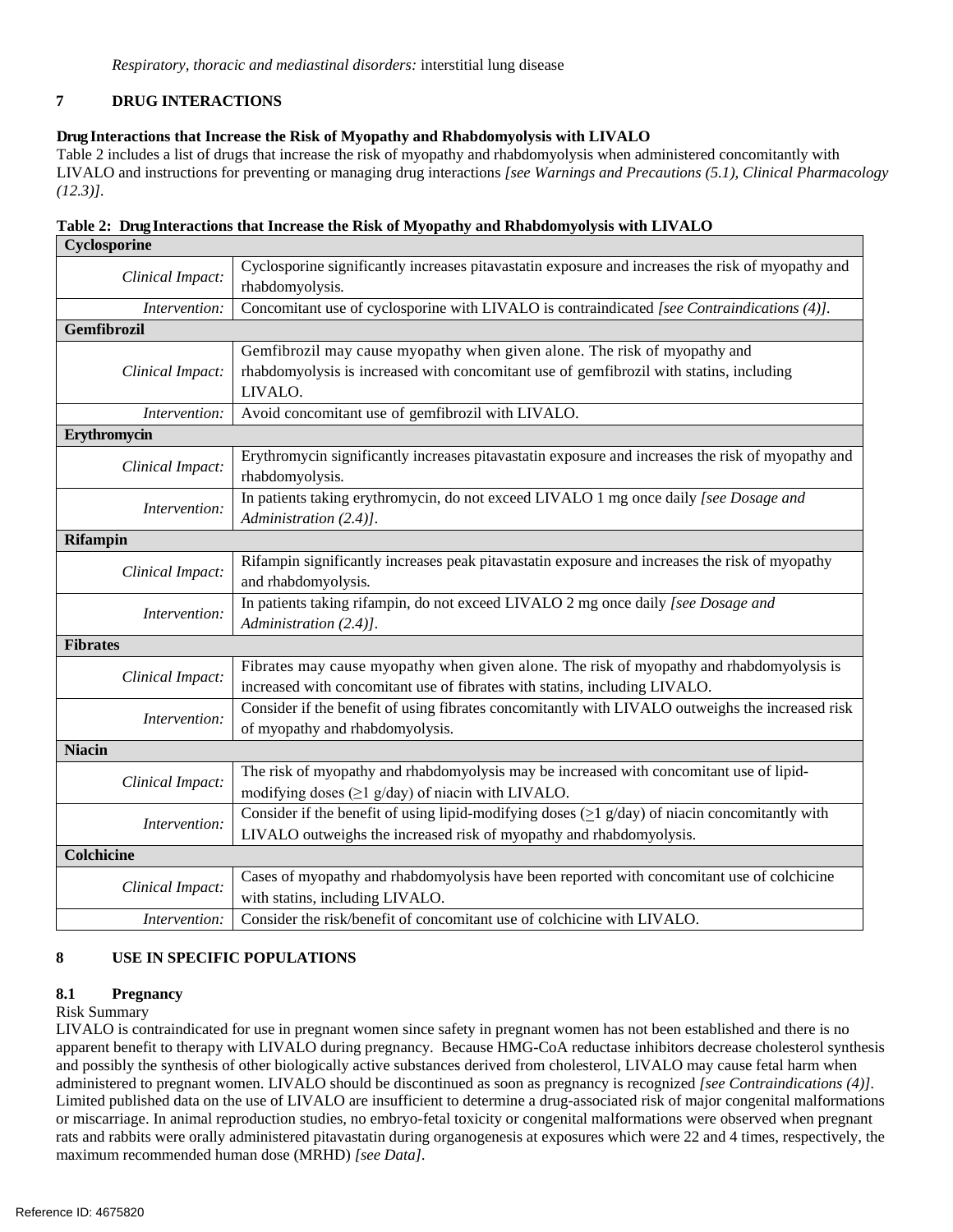#### **7 DRUG INTERACTIONS**

# **Drug Interactions that Increase the Risk of Myopathy and Rhabdomyolysis with LIVALO**

 Table 2 includes a list of drugs that increase the risk of myopathy and rhabdomyolysis when administered concomitantly with LIVALO and instructions for preventing or managing drug interactions *[see Warnings and Precautions (5.1), Clinical Pharmacology (12.3)].* 

| Cyclosporine     |                                                                                                                                                                                 |  |  |  |  |
|------------------|---------------------------------------------------------------------------------------------------------------------------------------------------------------------------------|--|--|--|--|
| Clinical Impact: | Cyclosporine significantly increases pitavastatin exposure and increases the risk of myopathy and<br>rhabdomyolysis.                                                            |  |  |  |  |
| Intervention:    | Concomitant use of cyclosporine with LIVALO is contraindicated [see Contraindications (4)].                                                                                     |  |  |  |  |
| Gemfibrozil      |                                                                                                                                                                                 |  |  |  |  |
| Clinical Impact: | Gemfibrozil may cause myopathy when given alone. The risk of myopathy and<br>rhabdomyolysis is increased with concomitant use of gemfibrozil with statins, including<br>LIVALO. |  |  |  |  |
| Intervention:    | Avoid concomitant use of gemfibrozil with LIVALO.                                                                                                                               |  |  |  |  |
| Erythromycin     |                                                                                                                                                                                 |  |  |  |  |
| Clinical Impact: | Erythromycin significantly increases pitavastatin exposure and increases the risk of myopathy and<br>rhabdomyolysis.                                                            |  |  |  |  |
| Intervention:    | In patients taking erythromycin, do not exceed LIVALO 1 mg once daily [see Dosage and<br>Administration (2.4)].                                                                 |  |  |  |  |
| <b>Rifampin</b>  |                                                                                                                                                                                 |  |  |  |  |
| Clinical Impact: | Rifampin significantly increases peak pitavastatin exposure and increases the risk of myopathy<br>and rhabdomyolysis.                                                           |  |  |  |  |
| Intervention:    | In patients taking rifampin, do not exceed LIVALO 2 mg once daily [see Dosage and<br>Administration (2.4)].                                                                     |  |  |  |  |
| <b>Fibrates</b>  |                                                                                                                                                                                 |  |  |  |  |
| Clinical Impact: | Fibrates may cause myopathy when given alone. The risk of myopathy and rhabdomyolysis is<br>increased with concomitant use of fibrates with statins, including LIVALO.          |  |  |  |  |
| Intervention:    | Consider if the benefit of using fibrates concomitantly with LIVALO outweighs the increased risk<br>of myopathy and rhabdomyolysis.                                             |  |  |  |  |
| <b>Niacin</b>    |                                                                                                                                                                                 |  |  |  |  |
| Clinical Impact: | The risk of myopathy and rhabdomyolysis may be increased with concomitant use of lipid-<br>modifying doses $(\geq 1$ g/day) of niacin with LIVALO.                              |  |  |  |  |
| Intervention:    | Consider if the benefit of using lipid-modifying doses ( $\geq$ 1 g/day) of niacin concomitantly with<br>LIVALO outweighs the increased risk of myopathy and rhabdomyolysis.    |  |  |  |  |
| Colchicine       |                                                                                                                                                                                 |  |  |  |  |
| Clinical Impact: | Cases of myopathy and rhabdomyolysis have been reported with concomitant use of colchicine<br>with statins, including LIVALO.                                                   |  |  |  |  |
| Intervention:    | Consider the risk/benefit of concomitant use of colchicine with LIVALO.                                                                                                         |  |  |  |  |

|                               |  |  | Table 2: Drug Interactions that Increase the Risk of Myopathy and Rhabdomyolysis with LIVALO |
|-------------------------------|--|--|----------------------------------------------------------------------------------------------|
| $C_{\text{valown},\text{un}}$ |  |  |                                                                                              |

#### **USE IN SPECIFIC POPULATIONS 8**

### **8.1 Pregnancy**

#### Risk Summary

 LIVALO is contraindicated for use in pregnant women since safety in pregnant women has not been established and there is no apparent benefit to therapy with LIVALO during pregnancy. Because HMG-CoA reductase inhibitors decrease cholesterol synthesis and possibly the synthesis of other biologically active substances derived from cholesterol, LIVALO may cause fetal harm when administered to pregnant women. LIVALO should be discontinued as soon as pregnancy is recognized *[see Contraindications (4)].*  Limited published data on the use of LIVALO are insufficient to determine a drug-associated risk of major congenital malformations or miscarriage. In animal reproduction studies, no embryo-fetal toxicity or congenital malformations were observed when pregnant rats and rabbits were orally administered pitavastatin during organogenesis at exposures which were 22 and 4 times, respectively, the maximum recommended human dose (MRHD) *[see Data].*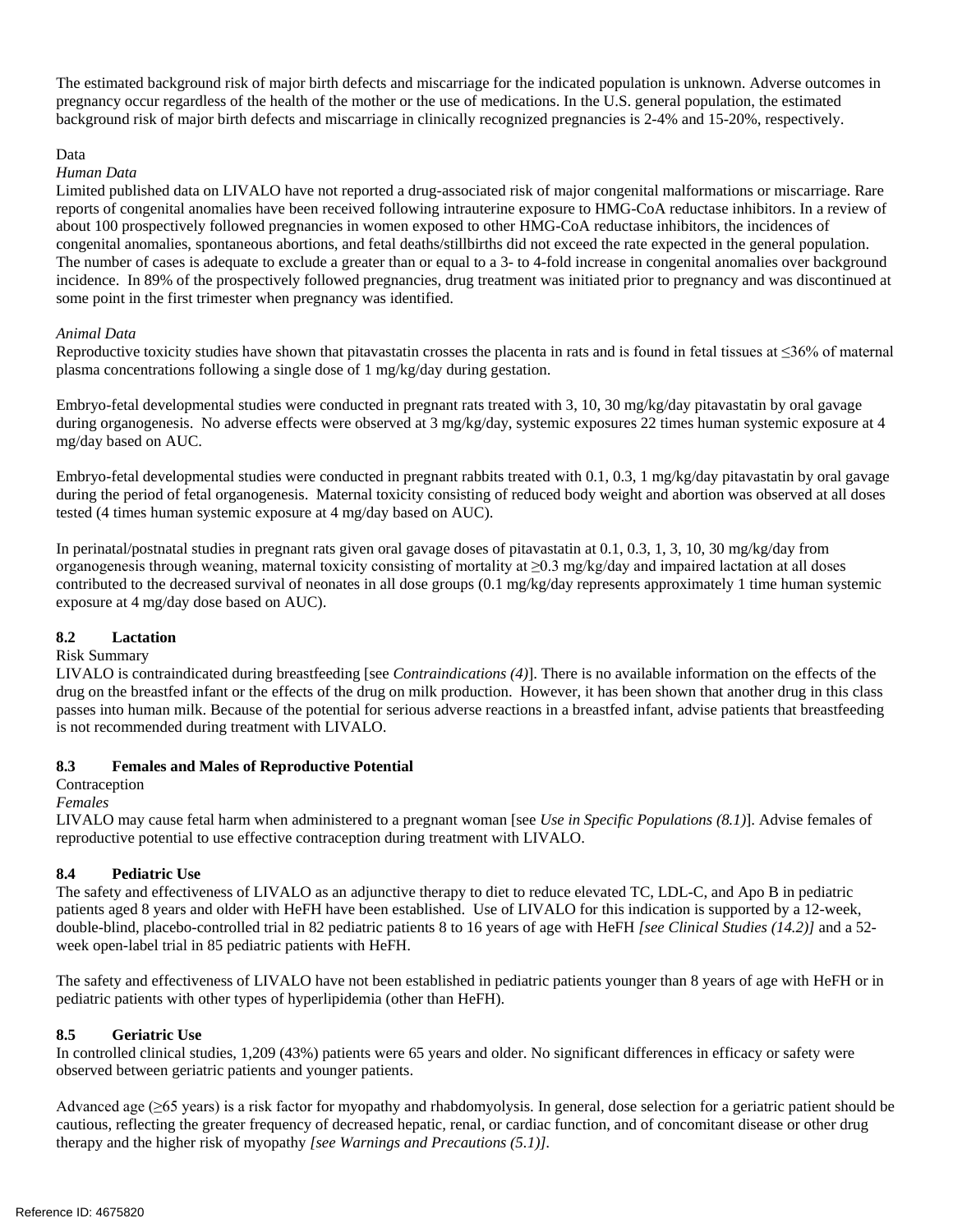The estimated background risk of major birth defects and miscarriage for the indicated population is unknown. Adverse outcomes in pregnancy occur regardless of the health of the mother or the use of medications. In the U.S. general population, the estimated background risk of major birth defects and miscarriage in clinically recognized pregnancies is 2-4% and 15-20%, respectively.

#### Data

#### *Human Data*

 Limited published data on LIVALO have not reported a drug-associated risk of major congenital malformations or miscarriage. Rare reports of congenital anomalies have been received following intrauterine exposure to HMG-CoA reductase inhibitors. In a review of about 100 prospectively followed pregnancies in women exposed to other HMG-CoA reductase inhibitors, the incidences of congenital anomalies, spontaneous abortions, and fetal deaths/stillbirths did not exceed the rate expected in the general population. The number of cases is adequate to exclude a greater than or equal to a 3- to 4-fold increase in congenital anomalies over background incidence. In 89% of the prospectively followed pregnancies, drug treatment was initiated prior to pregnancy and was discontinued at some point in the first trimester when pregnancy was identified.

#### *Animal Data*

 Reproductive toxicity studies have shown that pitavastatin crosses the placenta in rats and is found in fetal tissues at ≤36% of maternal plasma concentrations following a single dose of 1 mg/kg/day during gestation.

 Embryo-fetal developmental studies were conducted in pregnant rats treated with 3, 10, 30 mg/kg/day pitavastatin by oral gavage during organogenesis. No adverse effects were observed at 3 mg/kg/day, systemic exposures 22 times human systemic exposure at 4 mg/day based on AUC.

 Embryo-fetal developmental studies were conducted in pregnant rabbits treated with 0.1, 0.3, 1 mg/kg/day pitavastatin by oral gavage during the period of fetal organogenesis. Maternal toxicity consisting of reduced body weight and abortion was observed at all doses tested (4 times human systemic exposure at 4 mg/day based on AUC).

 In perinatal/postnatal studies in pregnant rats given oral gavage doses of pitavastatin at 0.1, 0.3, 1, 3, 10, 30 mg/kg/day from organogenesis through weaning, maternal toxicity consisting of mortality at ≥0.3 mg/kg/day and impaired lactation at all doses contributed to the decreased survival of neonates in all dose groups (0.1 mg/kg/day represents approximately 1 time human systemic exposure at 4 mg/day dose based on AUC).

### **8.2 Lactation**

#### Risk Summary

 LIVALO is contraindicated during breastfeeding [see *Contraindications (4)*]. There is no available information on the effects of the drug on the breastfed infant or the effects of the drug on milk production. However, it has been shown that another drug in this class passes into human milk. Because of the potential for serious adverse reactions in a breastfed infant, advise patients that breastfeeding is not recommended during treatment with LIVALO.

### **8.3 Females and Males of Reproductive Potential**

#### **Contraception**

#### *Females*

 LIVALO may cause fetal harm when administered to a pregnant woman [see *Use in Specific Populations (8.1)*]. Advise females of reproductive potential to use effective contraception during treatment with LIVALO.

### **8.4 Pediatric Use**

 The safety and effectiveness of LIVALO as an adjunctive therapy to diet to reduce elevated TC, LDL-C, and Apo B in pediatric patients aged 8 years and older with HeFH have been established. Use of LIVALO for this indication is supported by a 12-week, double-blind, placebo-controlled trial in 82 pediatric patients 8 to 16 years of age with HeFH *[see Clinical Studies (14.2)]* and a 52 week open-label trial in 85 pediatric patients with HeFH.

 The safety and effectiveness of LIVALO have not been established in pediatric patients younger than 8 years of age with HeFH or in pediatric patients with other types of hyperlipidemia (other than HeFH).

### **8.5 Geriatric Use**

 In controlled clinical studies, 1,209 (43%) patients were 65 years and older. No significant differences in efficacy or safety were observed between geriatric patients and younger patients.

 Advanced age (≥65 years) is a risk factor for myopathy and rhabdomyolysis. In general, dose selection for a geriatric patient should be cautious, reflecting the greater frequency of decreased hepatic, renal, or cardiac function, and of concomitant disease or other drug therapy and the higher risk of myopathy *[see Warnings and Precautions (5.1)].*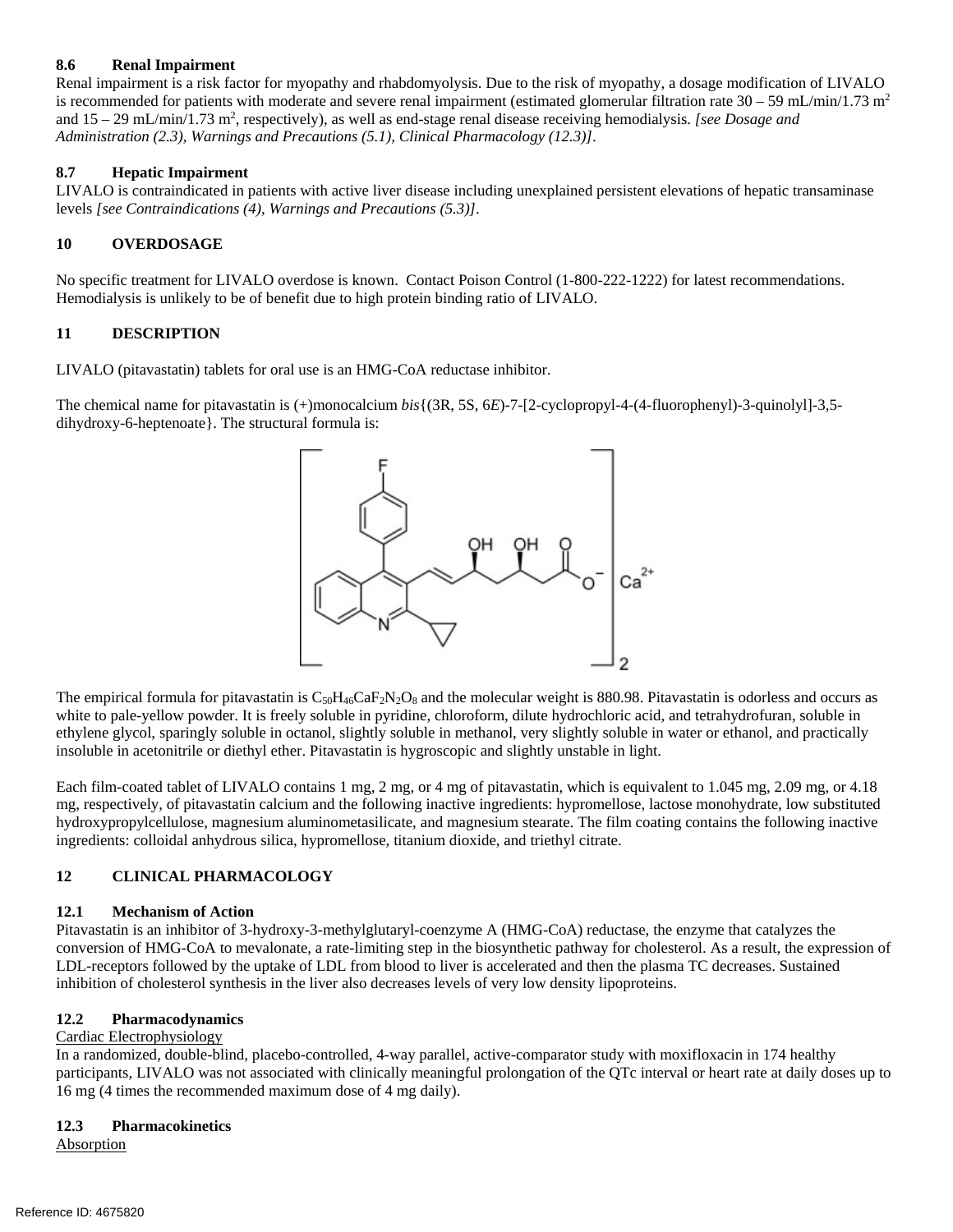# **8.6 Renal Impairment**

 Renal impairment is a risk factor for myopathy and rhabdomyolysis. Due to the risk of myopathy, a dosage modification of LIVALO is recommended for patients with moderate and severe renal impairment (estimated glomerular filtration rate  $30-59$  mL/min/1.73 m<sup>2</sup> and 15 - 29 mL/min/1.73 m<sup>2</sup>, respectively), as well as end-stage renal disease receiving hemodialysis. *[see Dosage and Administration (2.3), Warnings and Precautions (5.1), Clinical Pharmacology (12.3)]*.

# **8.7 Hepatic Impairment**

 LIVALO is contraindicated in patients with active liver disease including unexplained persistent elevations of hepatic transaminase levels *[see Contraindications (4), Warnings and Precautions (5.3)]*.

# **10 OVERDOSAGE**

 No specific treatment for LIVALO overdose is known. Contact Poison Control (1-800-222-1222) for latest recommendations. Hemodialysis is unlikely to be of benefit due to high protein binding ratio of LIVALO.

# **11 DESCRIPTION**

LIVALO (pitavastatin) tablets for oral use is an HMG-CoA reductase inhibitor.

 The chemical name for pitavastatin is (+)monocalcium *bis*{(3R, 5S, 6*E*)-7-[2-cyclopropyl-4-(4-fluorophenyl)-3-quinolyl]-3,5 dihydroxy-6-heptenoate}. The structural formula is:



The empirical formula for pitavastatin is  $C_{50}H_{46}CaF_2N_2O_8$  and the molecular weight is 880.98. Pitavastatin is odorless and occurs as white to pale-yellow powder. It is freely soluble in pyridine, chloroform, dilute hydrochloric acid, and tetrahydrofuran, soluble in ethylene glycol, sparingly soluble in octanol, slightly soluble in methanol, very slightly soluble in water or ethanol, and practically insoluble in acetonitrile or diethyl ether. Pitavastatin is hygroscopic and slightly unstable in light.

 Each film-coated tablet of LIVALO contains 1 mg, 2 mg, or 4 mg of pitavastatin, which is equivalent to 1.045 mg, 2.09 mg, or 4.18 mg, respectively, of pitavastatin calcium and the following inactive ingredients: hypromellose, lactose monohydrate, low substituted hydroxypropylcellulose, magnesium aluminometasilicate, and magnesium stearate. The film coating contains the following inactive ingredients: colloidal anhydrous silica, hypromellose, titanium dioxide, and triethyl citrate.

#### **12 CLINICAL PHARMACOLOGY**

### **12.1 Mechanism of Action**

 Pitavastatin is an inhibitor of 3-hydroxy-3-methylglutaryl-coenzyme A (HMG-CoA) reductase, the enzyme that catalyzes the conversion of HMG-CoA to mevalonate, a rate-limiting step in the biosynthetic pathway for cholesterol. As a result, the expression of LDL-receptors followed by the uptake of LDL from blood to liver is accelerated and then the plasma TC decreases. Sustained inhibition of cholesterol synthesis in the liver also decreases levels of very low density lipoproteins.

### **12.2 Pharmacodynamics**

### Cardiac Electrophysiology

 In a randomized, double-blind, placebo-controlled, 4-way parallel, active-comparator study with moxifloxacin in 174 healthy participants, LIVALO was not associated with clinically meaningful prolongation of the QTc interval or heart rate at daily doses up to 16 mg (4 times the recommended maximum dose of 4 mg daily).

### **12.3 Pharmacokinetics**

**Absorption**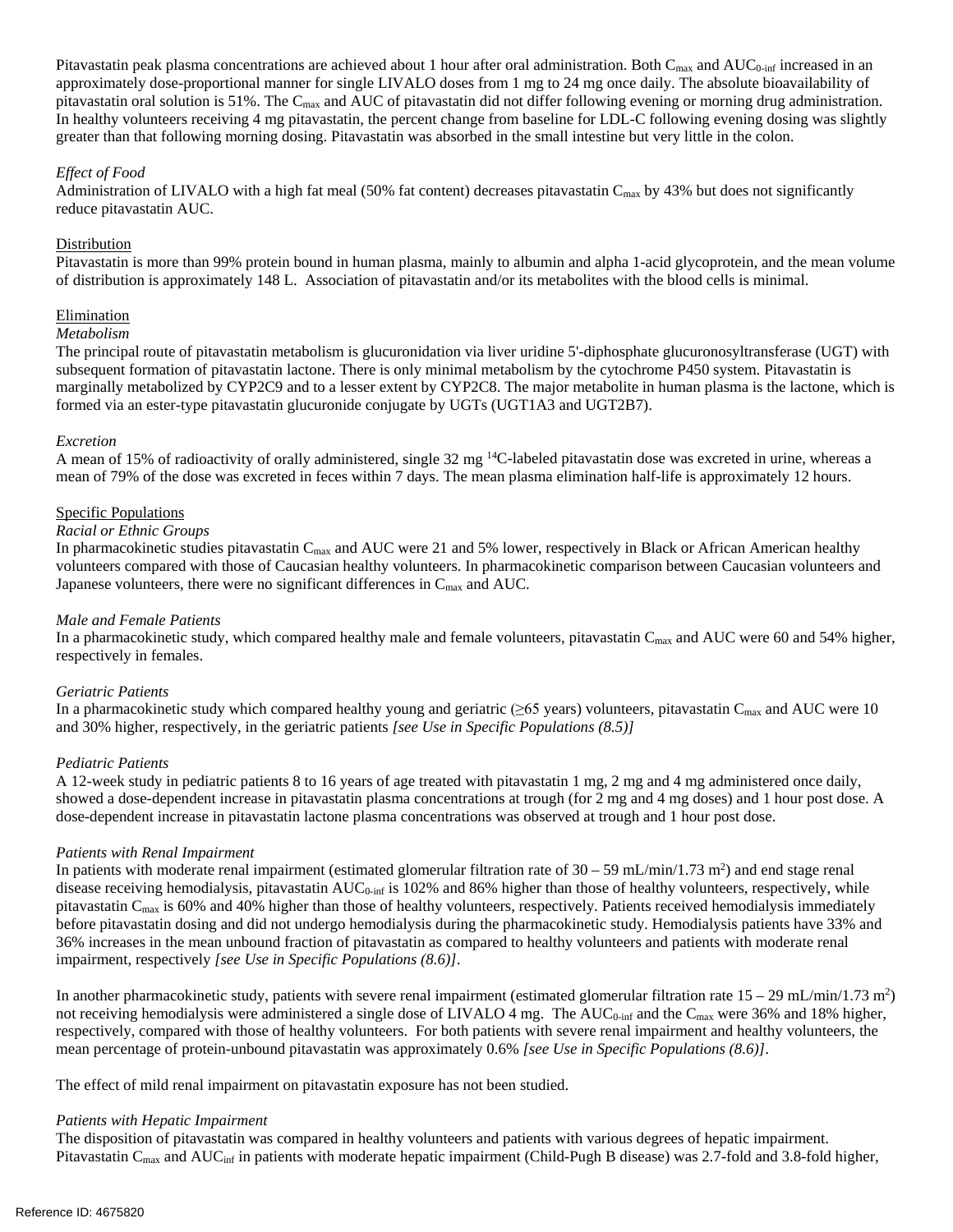Pitavastatin peak plasma concentrations are achieved about 1 hour after oral administration. Both  $C_{\text{max}}$  and  $AUC_{0\text{-inf}}$  increased in an approximately dose-proportional manner for single LIVALO doses from 1 mg to 24 mg once daily. The absolute bioavailability of pitavastatin oral solution is 51%. The  $C_{\text{max}}$  and AUC of pitavastatin did not differ following evening or morning drug administration. In healthy volunteers receiving 4 mg pitavastatin, the percent change from baseline for LDL-C following evening dosing was slightly greater than that following morning dosing. Pitavastatin was absorbed in the small intestine but very little in the colon.

# *Effect of Food*

Administration of LIVALO with a high fat meal (50% fat content) decreases pitavastatin  $C_{\text{max}}$  by 43% but does not significantly reduce pitavastatin AUC.

#### Distribution

Distribution<br>Pitavastatin is more than 99% protein bound in human plasma, mainly to albumin and alpha 1-acid glycoprotein, and the mean volume of distribution is approximately 148 L. Association of pitavastatin and/or its metabolites with the blood cells is minimal.

#### Elimination

#### *Metabolism*

 The principal route of pitavastatin metabolism is glucuronidation via liver uridine 5'-diphosphate glucuronosyltransferase (UGT) with subsequent formation of pitavastatin lactone. There is only minimal metabolism by the cytochrome P450 system. Pitavastatin is marginally metabolized by CYP2C9 and to a lesser extent by CYP2C8. The major metabolite in human plasma is the lactone, which is formed via an ester-type pitavastatin glucuronide conjugate by UGTs (UGT1A3 and UGT2B7).

#### *Excretion*

A mean of 15% of radioactivity of orally administered, single 32 mg <sup>14</sup>C-labeled pitavastatin dose was excreted in urine, whereas a mean of 79% of the dose was excreted in feces within 7 days. The mean plasma elimination half-life is approximately 12 hours.

#### Specific Populations

#### *Racial or Ethnic Groups*

In pharmacokinetic studies pitavastatin  $C_{\text{max}}$  and AUC were 21 and 5% lower, respectively in Black or African American healthy volunteers compared with those of Caucasian healthy volunteers. In pharmacokinetic comparison between Caucasian volunteers and Japanese volunteers, there were no significant differences in  $C_{\text{max}}$  and AUC.

#### *Male and Female Patients*

In a pharmacokinetic study, which compared healthy male and female volunteers, pitavastatin  $C_{\text{max}}$  and AUC were 60 and 54% higher, respectively in females.

### *Geriatric Patients*

In a pharmacokinetic study which compared healthy young and geriatric ( $\geq 65$  years) volunteers, pitavastatin C<sub>max</sub> and AUC were 10 and 30% higher, respectively, in the geriatric patients *[see Use in Specific Populations (8.5)]* 

### *Pediatric Patients*

 A 12-week study in pediatric patients 8 to 16 years of age treated with pitavastatin 1 mg, 2 mg and 4 mg administered once daily, showed a dose-dependent increase in pitavastatin plasma concentrations at trough (for 2 mg and 4 mg doses) and 1 hour post dose. A dose-dependent increase in pitavastatin lactone plasma concentrations was observed at trough and 1 hour post dose.

#### *Patients with Renal Impairment*

In patients with moderate renal impairment (estimated glomerular filtration rate of  $30 - 59$  mL/min/1.73 m<sup>2</sup>) and end stage renal disease receiving hemodialysis, pitavastatin AUC<sub>0-inf</sub> is 102% and 86% higher than those of healthy volunteers, respectively, while pitavastatin  $C_{\text{max}}$  is 60% and 40% higher than those of healthy volunteers, respectively. Patients received hemodialysis immediately before pitavastatin dosing and did not undergo hemodialysis during the pharmacokinetic study. Hemodialysis patients have 33% and 36% increases in the mean unbound fraction of pitavastatin as compared to healthy volunteers and patients with moderate renal  impairment, respectively *[see Use in Specific Populations (8.6)]*.

In another pharmacokinetic study, patients with severe renal impairment (estimated glomerular filtration rate  $15 - 29$  mL/min/1.73 m<sup>2</sup>) not receiving hemodialysis were administered a single dose of LIVALO 4 mg. The  $AUC_{0\text{-inf}}$  and the  $C_{\text{max}}$  were 36% and 18% higher, respectively, compared with those of healthy volunteers. For both patients with severe renal impairment and healthy volunteers, the  mean percentage of protein-unbound pitavastatin was approximately 0.6% *[see Use in Specific Populations (8.6)]*.

The effect of mild renal impairment on pitavastatin exposure has not been studied.

### *Patients with Hepatic Impairment*

 The disposition of pitavastatin was compared in healthy volunteers and patients with various degrees of hepatic impairment. Pitavastatin C<sub>max</sub> and AUC<sub>inf</sub> in patients with moderate hepatic impairment (Child-Pugh B disease) was 2.7-fold and 3.8-fold higher,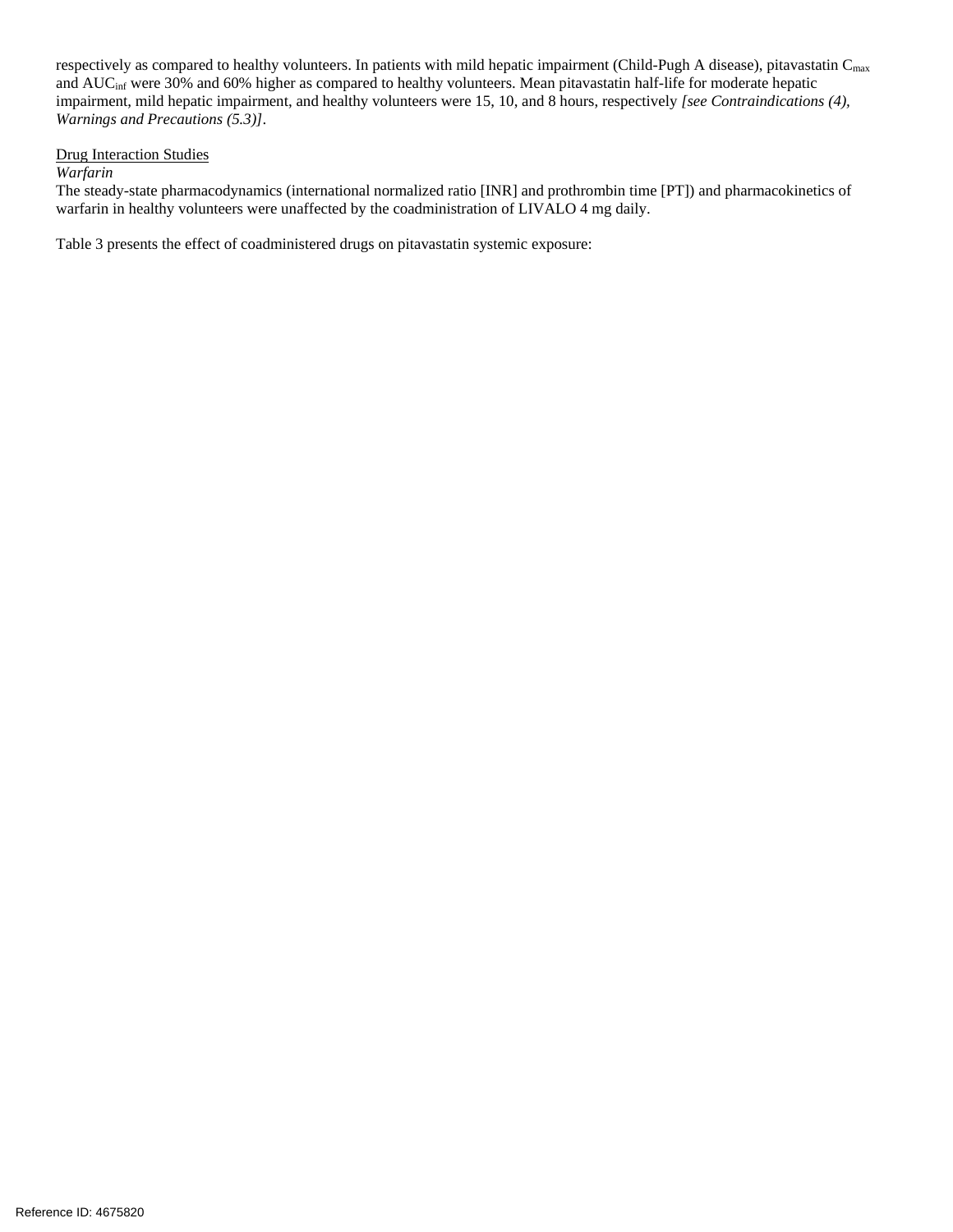respectively as compared to healthy volunteers. In patients with mild hepatic impairment (Child-Pugh A disease), pitavastatin  $C_{\text{max}}$ and  $AUC<sub>inf</sub>$  were 30% and 60% higher as compared to healthy volunteers. Mean pitavastatin half-life for moderate hepatic impairment, mild hepatic impairment, and healthy volunteers were 15, 10, and 8 hours, respectively *[see Contraindications (4), Warnings and Precautions (5.3)].*<br><u>Drug Interaction Studies</u>

#### **Drug Interaction Studies**

## *Warfarin*

 The steady-state pharmacodynamics (international normalized ratio [INR] and prothrombin time [PT]) and pharmacokinetics of warfarin in healthy volunteers were unaffected by the coadministration of LIVALO 4 mg daily.

Table 3 presents the effect of coadministered drugs on pitavastatin systemic exposure: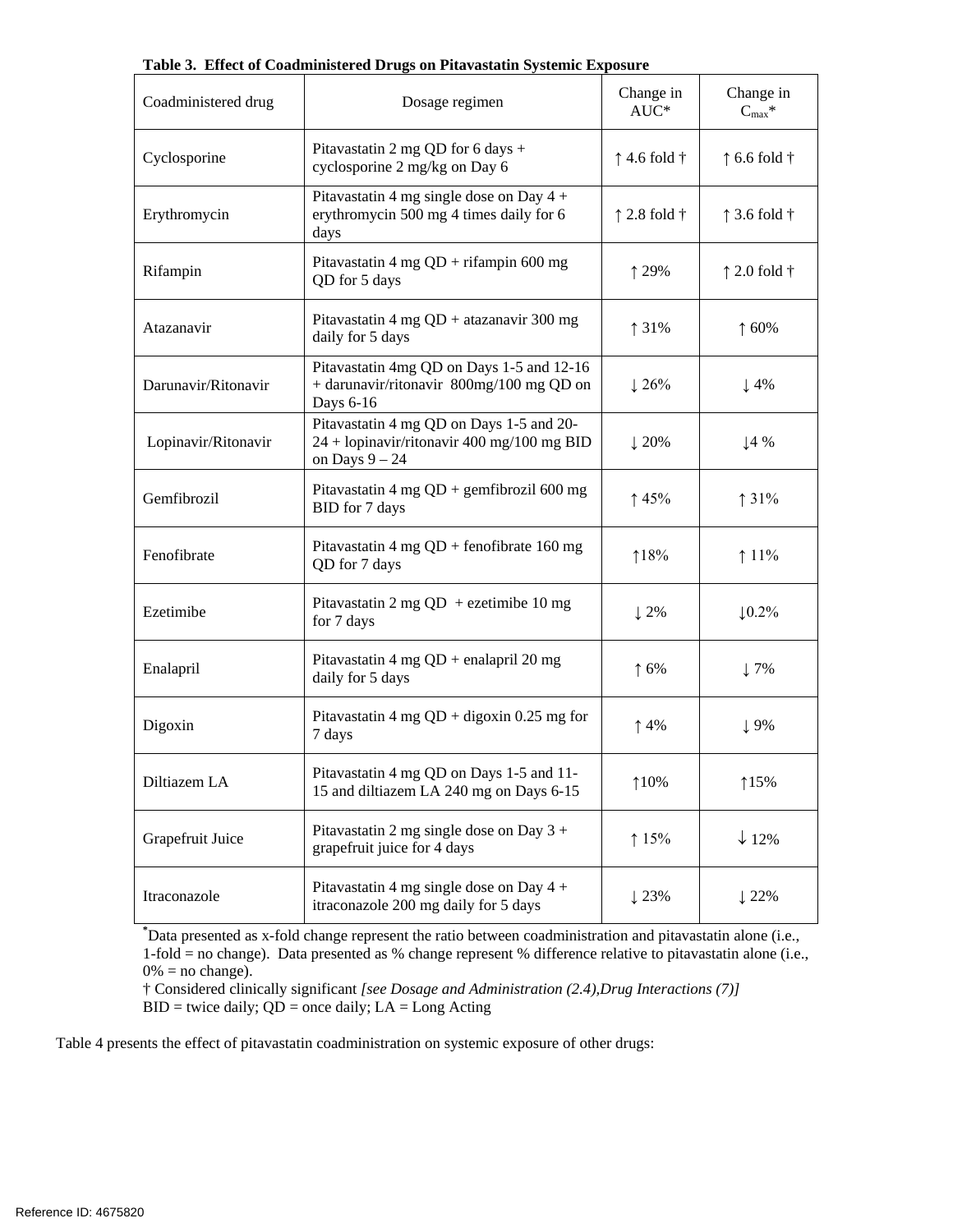| Coadministered drug | Dosage regimen                                                                                               | Change in<br>$AUC^*$          | Change in<br>$C_{\text{max}}$ * |
|---------------------|--------------------------------------------------------------------------------------------------------------|-------------------------------|---------------------------------|
| Cyclosporine        | Pitavastatin 2 mg QD for 6 days +<br>cyclosporine 2 mg/kg on Day 6                                           | $\uparrow$ 4.6 fold $\dagger$ | $\uparrow$ 6.6 fold $\dagger$   |
| Erythromycin        | Pitavastatin 4 mg single dose on Day 4 +<br>erythromycin 500 mg 4 times daily for 6<br>days                  | $\uparrow$ 2.8 fold $\dagger$ | $\uparrow$ 3.6 fold $\dagger$   |
| Rifampin            | Pitavastatin 4 mg $QD + r$ ifampin 600 mg<br>QD for 5 days                                                   | ↑ 29%                         | $\uparrow$ 2.0 fold $\dagger$   |
| Atazanavir          | Pitavastatin 4 mg QD + atazanavir 300 mg<br>daily for 5 days                                                 | ↑ 31%                         | $\uparrow 60\%$                 |
| Darunavir/Ritonavir | Pitavastatin 4mg QD on Days 1-5 and 12-16<br>+ darunavir/ritonavir 800mg/100 mg QD on<br>Days 6-16           | $\downarrow$ 26%              | $\downarrow$ 4%                 |
| Lopinavir/Ritonavir | Pitavastatin 4 mg QD on Days 1-5 and 20-<br>$24 + lopinavir/ritonavir 400 mg/100 mg BID$<br>on Days $9 - 24$ | $\downarrow$ 20%              | $\downarrow$ 4 %                |
| Gemfibrozil         | Pitavastatin 4 mg $QD$ + gemfibrozil 600 mg<br>BID for 7 days                                                | $\uparrow$ 45%                | $\uparrow$ 31%                  |
| Fenofibrate         | Pitavastatin 4 mg $QD$ + fenofibrate 160 mg<br>QD for 7 days                                                 | 18%                           | $11\%$                          |
| Ezetimibe           | Pitavastatin 2 mg QD + ezetimibe 10 mg<br>for 7 days                                                         | $\downarrow$ 2%               | $\downarrow$ 0.2%               |
| Enalapril           | Pitavastatin 4 mg $QD$ + enalapril 20 mg<br>daily for 5 days                                                 | $\uparrow$ 6%                 | $\downarrow$ 7%                 |
| Digoxin             | Pitavastatin 4 mg $QD +$ digoxin 0.25 mg for<br>7 days                                                       | $\uparrow$ 4%                 | $\downarrow$ 9%                 |
| Diltiazem LA        | Pitavastatin 4 mg QD on Days 1-5 and 11-<br>15 and diltiazem LA 240 mg on Days 6-15                          | 10%                           | 115%                            |
| Grapefruit Juice    | Pitavastatin 2 mg single dose on Day $3 +$<br>grapefruit juice for 4 days                                    | 15%                           | $\downarrow$ 12%                |
| Itraconazole        | Pitavastatin 4 mg single dose on Day $4 +$<br>itraconazole 200 mg daily for 5 days                           | $\downarrow$ 23%              | $\downarrow$ 22%                |

 **Table 3. Effect of Coadministered Drugs on Pitavastatin Systemic Exposure** 

 **\*** Data presented as x-fold change represent the ratio between coadministration and pitavastatin alone (i.e., 1-fold = no change). Data presented as % change represent % difference relative to pitavastatin alone (i.e.,  $0\% =$  no change).

 † Considered clinically significant *[see Dosage and Administration (2.4),Drug Interactions (7)]*   $BID =$  twice daily;  $QD =$  once daily;  $LA =$  Long Acting

Table 4 presents the effect of pitavastatin coadministration on systemic exposure of other drugs: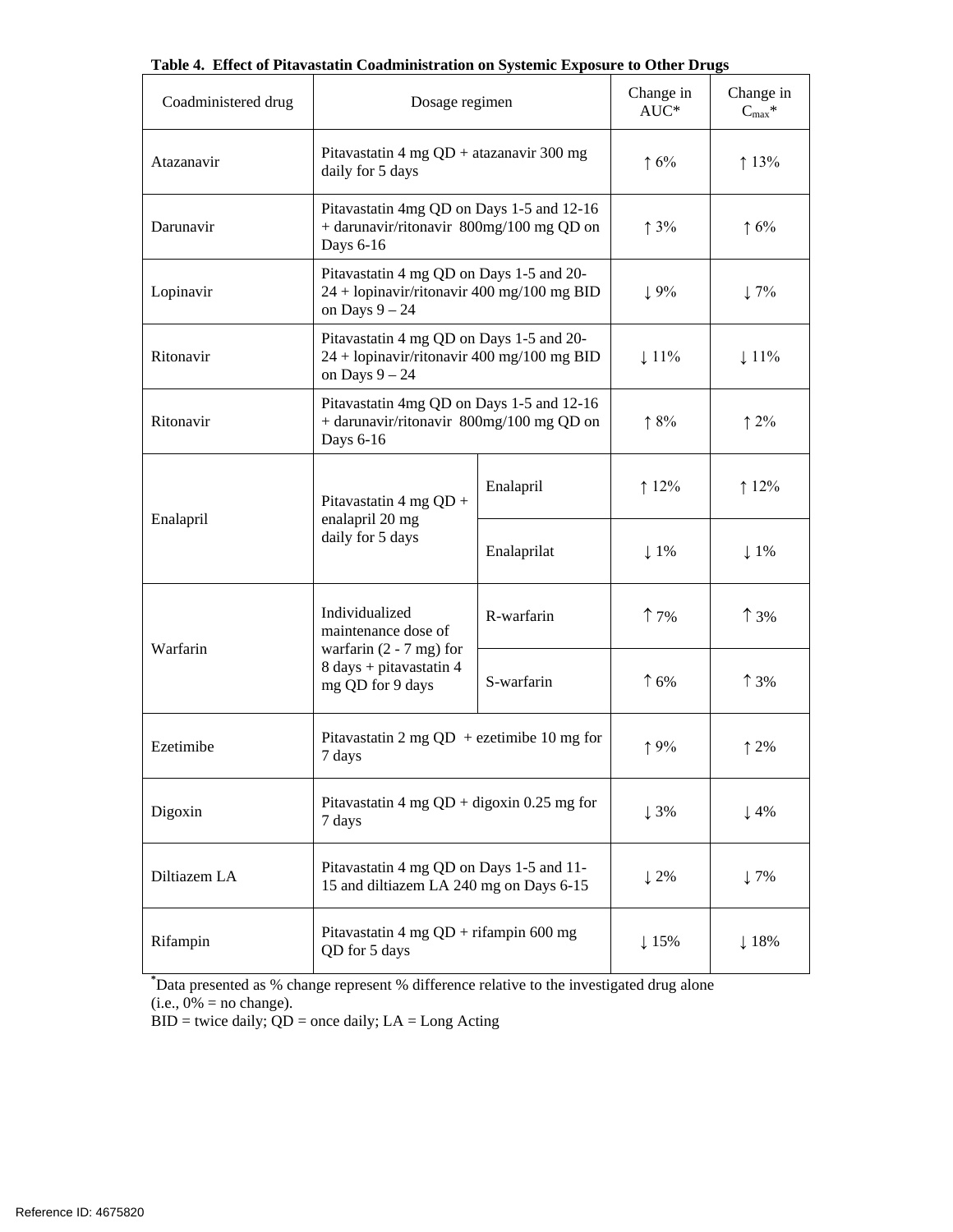| Coadministered drug | Dosage regimen                                                                                             |                  | Change in<br>$AUC^*$ | Change in<br>$C_{\text{max}}$ * |
|---------------------|------------------------------------------------------------------------------------------------------------|------------------|----------------------|---------------------------------|
| Atazanavir          | Pitavastatin 4 mg $QD$ + atazanavir 300 mg<br>daily for 5 days                                             |                  | $\uparrow 6\%$       | 13%                             |
| Darunavir           | Pitavastatin 4mg QD on Days 1-5 and 12-16<br>+ darunavir/ritonavir 800mg/100 mg QD on<br>Days 6-16         |                  | $\uparrow$ 3%        | $\uparrow 6\%$                  |
| Lopinavir           | Pitavastatin 4 mg QD on Days 1-5 and 20-<br>24 + lopinavir/ritonavir 400 mg/100 mg BID<br>on Days $9 - 24$ |                  | $\downarrow$ 9%      | $\downarrow$ 7%                 |
| Ritonavir           | Pitavastatin 4 mg QD on Days 1-5 and 20-<br>24 + lopinavir/ritonavir 400 mg/100 mg BID<br>on Days $9 - 24$ | $\downarrow$ 11% | $\downarrow$ 11%     |                                 |
| Ritonavir           | Pitavastatin 4mg QD on Days 1-5 and 12-16<br>+ darunavir/ritonavir 800mg/100 mg QD on<br>Days 6-16         | $\uparrow 8\%$   | $\uparrow$ 2%        |                                 |
|                     | Pitavastatin 4 mg $QD +$<br>enalapril 20 mg<br>daily for 5 days                                            | Enalapril        | $12\%$               | $12\%$                          |
| Enalapril           |                                                                                                            | Enalaprilat      | $\downarrow$ 1%      | $\downarrow$ 1%                 |
|                     | Individualized<br>maintenance dose of                                                                      | R-warfarin       | $\uparrow$ 7%        | $\uparrow$ 3%                   |
| Warfarin            | warfarin $(2 - 7$ mg) for<br>8 days + pitavastatin 4<br>mg QD for 9 days                                   | S-warfarin       | $\uparrow$ 6%        | $\uparrow$ 3%                   |
| Ezetimibe           | Pitavastatin 2 mg QD + ezetimibe 10 mg for<br>7 days                                                       |                  | 19%                  | 12%                             |
| Digoxin             | Pitavastatin 4 mg $QD +$ digoxin 0.25 mg for<br>7 days                                                     | $\downarrow$ 3%  | $\downarrow$ 4%      |                                 |
| Diltiazem LA        | Pitavastatin 4 mg QD on Days 1-5 and 11-<br>15 and diltiazem LA 240 mg on Days 6-15                        |                  | $\downarrow$ 2%      | $\downarrow$ 7%                 |
| Rifampin            | Pitavastatin 4 mg $QD + r$ ifampin 600 mg<br>QD for 5 days                                                 |                  | $\downarrow$ 15%     | $\downarrow$ 18%                |

**Table 4. Effect of Pitavastatin Coadministration on Systemic Exposure to Other Drugs** 

 $(i.e., 0\% = no change).$ **\*** Data presented as % change represent % difference relative to the investigated drug alone

 $BID =$  twice daily;  $QD =$  once daily;  $LA =$  Long Acting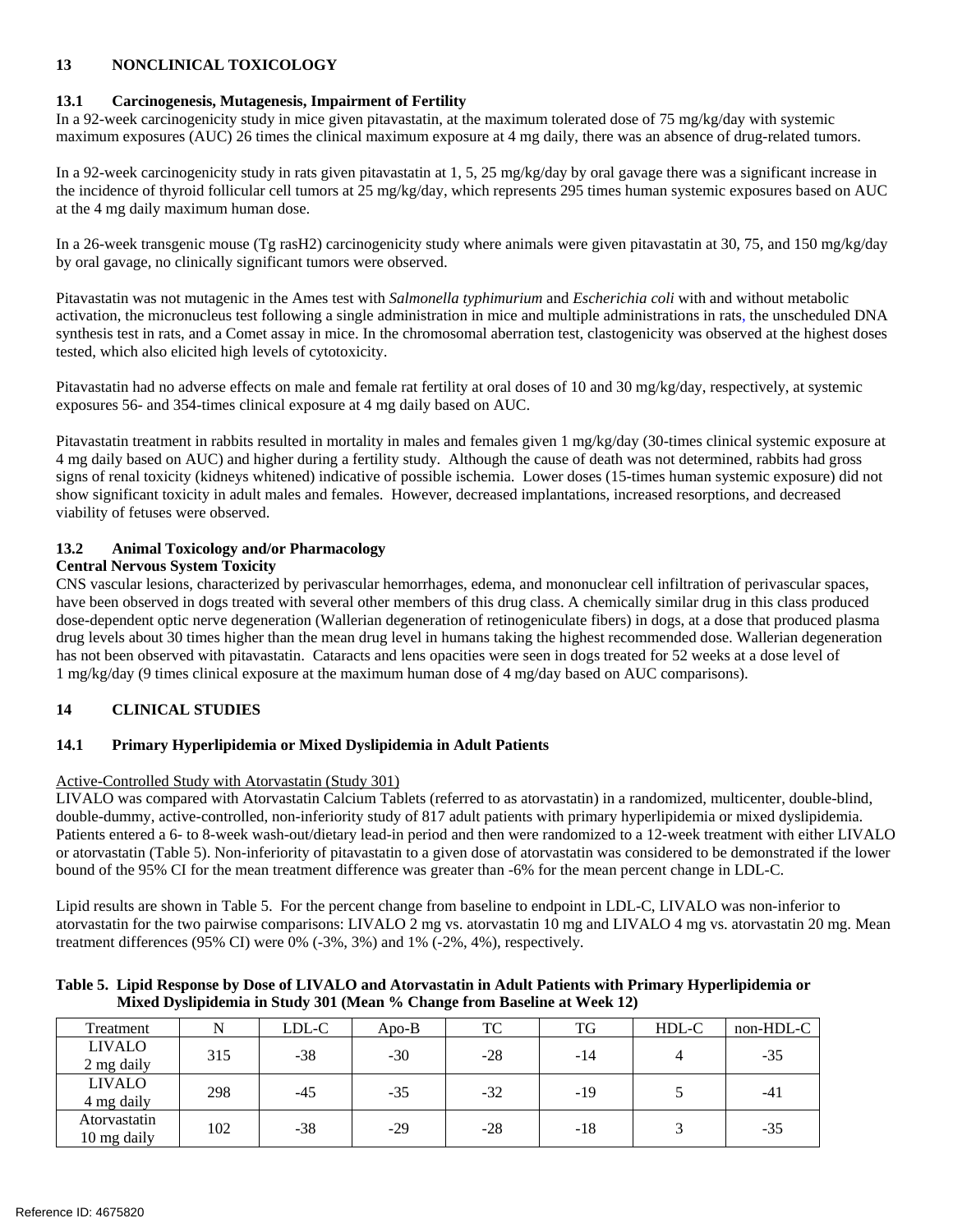# **13 NONCLINICAL TOXICOLOGY**

# **13.1 Carcinogenesis, Mutagenesis, Impairment of Fertility**

 In a 92-week carcinogenicity study in mice given pitavastatin, at the maximum tolerated dose of 75 mg/kg/day with systemic maximum exposures (AUC) 26 times the clinical maximum exposure at 4 mg daily, there was an absence of drug-related tumors.

 In a 92-week carcinogenicity study in rats given pitavastatin at 1, 5, 25 mg/kg/day by oral gavage there was a significant increase in the incidence of thyroid follicular cell tumors at 25 mg/kg/day, which represents 295 times human systemic exposures based on AUC at the 4 mg daily maximum human dose.

 In a 26-week transgenic mouse (Tg rasH2) carcinogenicity study where animals were given pitavastatin at 30, 75, and 150 mg/kg/day by oral gavage, no clinically significant tumors were observed.

 Pitavastatin was not mutagenic in the Ames test with *Salmonella typhimurium* and *Escherichia coli* with and without metabolic activation, the micronucleus test following a single administration in mice and multiple administrations in rats, the unscheduled DNA synthesis test in rats, and a Comet assay in mice. In the chromosomal aberration test, clastogenicity was observed at the highest doses tested, which also elicited high levels of cytotoxicity.

 Pitavastatin had no adverse effects on male and female rat fertility at oral doses of 10 and 30 mg/kg/day, respectively, at systemic exposures 56- and 354-times clinical exposure at 4 mg daily based on AUC.

 Pitavastatin treatment in rabbits resulted in mortality in males and females given 1 mg/kg/day (30-times clinical systemic exposure at 4 mg daily based on AUC) and higher during a fertility study. Although the cause of death was not determined, rabbits had gross signs of renal toxicity (kidneys whitened) indicative of possible ischemia. Lower doses (15-times human systemic exposure) did not show significant toxicity in adult males and females. However, decreased implantations, increased resorptions, and decreased viability of fetuses were observed.

# **13.2 Animal Toxicology and/or Pharmacology**

# **Central Nervous System Toxicity**

 CNS vascular lesions, characterized by perivascular hemorrhages, edema, and mononuclear cell infiltration of perivascular spaces, have been observed in dogs treated with several other members of this drug class. A chemically similar drug in this class produced dose-dependent optic nerve degeneration (Wallerian degeneration of retinogeniculate fibers) in dogs, at a dose that produced plasma drug levels about 30 times higher than the mean drug level in humans taking the highest recommended dose. Wallerian degeneration has not been observed with pitavastatin. Cataracts and lens opacities were seen in dogs treated for 52 weeks at a dose level of 1 mg/kg/day (9 times clinical exposure at the maximum human dose of 4 mg/day based on AUC comparisons).

# **14 CLINICAL STUDIES**

# **14.1 Primary Hyperlipidemia or Mixed Dyslipidemia in Adult Patients**

# Active-Controlled Study with Atorvastatin (Study 301)

 LIVALO was compared with Atorvastatin Calcium Tablets (referred to as atorvastatin) in a randomized, multicenter, double-blind, double-dummy, active-controlled, non-inferiority study of 817 adult patients with primary hyperlipidemia or mixed dyslipidemia. Patients entered a 6- to 8-week wash-out/dietary lead-in period and then were randomized to a 12-week treatment with either LIVALO or atorvastatin (Table 5). Non-inferiority of pitavastatin to a given dose of atorvastatin was considered to be demonstrated if the lower bound of the 95% CI for the mean treatment difference was greater than -6% for the mean percent change in LDL-C.

 Lipid results are shown in Table 5. For the percent change from baseline to endpoint in LDL-C, LIVALO was non-inferior to atorvastatin for the two pairwise comparisons: LIVALO 2 mg vs. atorvastatin 10 mg and LIVALO 4 mg vs. atorvastatin 20 mg. Mean treatment differences (95% CI) were 0% (-3%, 3%) and 1% (-2%, 4%), respectively.

| Table 5. Lipid Response by Dose of LIVALO and Atorvastatin in Adult Patients with Primary Hyperlipidemia or |
|-------------------------------------------------------------------------------------------------------------|
| Mixed Dyslipidemia in Study 301 (Mean % Change from Baseline at Week 12)                                    |

| Treatment                   | N   | LDL-C | $A$ po- $B$ | TC    | TG  | HDL-C | non-HDL-C |
|-----------------------------|-----|-------|-------------|-------|-----|-------|-----------|
| <b>LIVALO</b><br>2 mg daily | 315 | -38   | $-30$       | $-28$ | -14 |       | $-35$     |
| <b>LIVALO</b><br>4 mg daily | 298 | $-45$ | $-35$       | $-32$ | -19 |       | $-41$     |
| Atorvastatin<br>10 mg daily | 102 | -38   | $-29$       | $-28$ | -18 |       | $-35$     |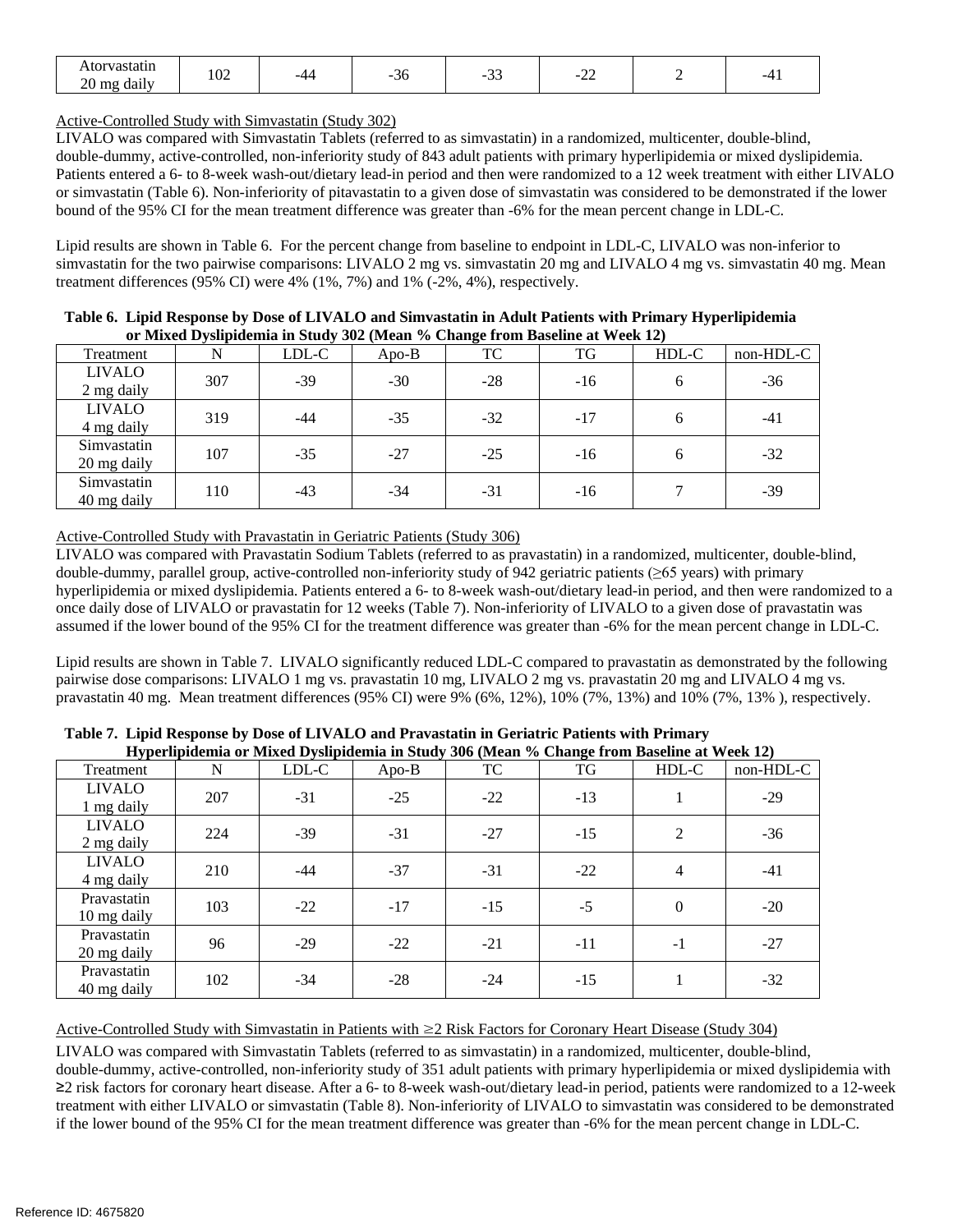| Atorvastatin                    | $\Omega$ |     |          | $\sim$  | $\sim$                        |  |
|---------------------------------|----------|-----|----------|---------|-------------------------------|--|
| . .<br>$20 \text{ mg}$<br>daily | 1 UZ     | -44 | ۰r<br>υU | -<br>-- | -<br>$\overline{\phantom{a}}$ |  |

Active-Controlled Study with Simvastatin (Study 302)

 LIVALO was compared with Simvastatin Tablets (referred to as simvastatin) in a randomized, multicenter, double-blind, double-dummy, active-controlled, non-inferiority study of 843 adult patients with primary hyperlipidemia or mixed dyslipidemia. Patients entered a 6- to 8-week wash-out/dietary lead-in period and then were randomized to a 12 week treatment with either LIVALO or simvastatin (Table 6). Non-inferiority of pitavastatin to a given dose of simvastatin was considered to be demonstrated if the lower bound of the 95% CI for the mean treatment difference was greater than -6% for the mean percent change in LDL-C.

 Lipid results are shown in Table 6. For the percent change from baseline to endpoint in LDL-C, LIVALO was non-inferior to simvastatin for the two pairwise comparisons: LIVALO 2 mg vs. simvastatin 20 mg and LIVALO 4 mg vs. simvastatin 40 mg. Mean treatment differences (95% CI) were 4% (1%, 7%) and 1% (-2%, 4%), respectively.

|                             | <u>ul buxuu D yshiguunii in staa yoog wituu 70 Change n um Daschiic ac ween 197</u> |       |         |       |       |       |           |
|-----------------------------|-------------------------------------------------------------------------------------|-------|---------|-------|-------|-------|-----------|
| Treatment                   | N                                                                                   | LDL-C | $Apo-B$ | TC    | TG    | HDL-C | non-HDL-C |
| <b>LIVALO</b><br>2 mg daily | 307                                                                                 | $-39$ | $-30$   | $-28$ | $-16$ | 6     | $-36$     |
| <b>LIVALO</b><br>4 mg daily | 319                                                                                 | -44   | $-35$   | $-32$ | $-17$ | 6     | $-41$     |
| Simvastatin<br>20 mg daily  | 107                                                                                 | $-35$ | $-27$   | $-25$ | $-16$ | 6     | $-32$     |
| Simvastatin<br>40 mg daily  | 110                                                                                 | $-43$ | $-34$   | $-31$ | $-16$ |       | $-39$     |

 **Table 6. Lipid Response by Dose of LIVALO and Simvastatin in Adult Patients with Primary Hyperlipidemia or Mixed Dyslipidemia in Study 302 (Mean % Change from Baseline at Week 12)** 

# Active-Controlled Study with Pravastatin in Geriatric Patients (Study 306)

 LIVALO was compared with Pravastatin Sodium Tablets (referred to as pravastatin) in a randomized, multicenter, double-blind, double-dummy, parallel group, active-controlled non-inferiority study of 942 geriatric patients (≥65 years) with primary hyperlipidemia or mixed dyslipidemia. Patients entered a 6- to 8-week wash-out/dietary lead-in period, and then were randomized to a once daily dose of LIVALO or pravastatin for 12 weeks (Table 7). Non-inferiority of LIVALO to a given dose of pravastatin was assumed if the lower bound of the 95% CI for the treatment difference was greater than -6% for the mean percent change in LDL-C.

 Lipid results are shown in Table 7. LIVALO significantly reduced LDL-C compared to pravastatin as demonstrated by the following pairwise dose comparisons: LIVALO 1 mg vs. pravastatin 10 mg, LIVALO 2 mg vs. pravastatin 20 mg and LIVALO 4 mg vs. pravastatin 40 mg. Mean treatment differences (95% CI) were 9% (6%, 12%), 10% (7%, 13%) and 10% (7%, 13% ), respectively.

|                             |     |       |         | Trypernpluentia of Mixed Dyshpluentia in Study 500 (Mean 70 Change from Dasenne at Week 12) |       |          |           |
|-----------------------------|-----|-------|---------|---------------------------------------------------------------------------------------------|-------|----------|-----------|
| Treatment                   | N   | LDL-C | $Apo-B$ | TC                                                                                          | TG    | HDL-C    | non-HDL-C |
| <b>LIVALO</b><br>1 mg daily | 207 | $-31$ | $-25$   | $-22$                                                                                       | $-13$ |          | $-29$     |
| <b>LIVALO</b><br>2 mg daily | 224 | $-39$ | $-31$   | $-27$                                                                                       | $-15$ | 2        | $-36$     |
| <b>LIVALO</b><br>4 mg daily | 210 | $-44$ | $-37$   | $-31$                                                                                       | $-22$ | 4        | $-41$     |
| Pravastatin<br>10 mg daily  | 103 | $-22$ | $-17$   | $-15$                                                                                       | $-5$  | $\theta$ | $-20$     |
| Pravastatin<br>20 mg daily  | 96  | $-29$ | $-22$   | $-21$                                                                                       | $-11$ | $-1$     | $-27$     |
| Pravastatin<br>40 mg daily  | 102 | $-34$ | $-28$   | $-24$                                                                                       | $-15$ |          | $-32$     |

 **Table 7. Lipid Response by Dose of LIVALO and Pravastatin in Geriatric Patients with Primary Hyperlipidemia or Mixed Dyslipidemia in Study 306 (Mean % Change from Baseline at Week 12)**

Active-Controlled Study with Simvastatin in Patients with ≥2 Risk Factors for Coronary Heart Disease (Study 304)

 LIVALO was compared with Simvastatin Tablets (referred to as simvastatin) in a randomized, multicenter, double-blind, double-dummy, active-controlled, non-inferiority study of 351 adult patients with primary hyperlipidemia or mixed dyslipidemia with ≥2 risk factors for coronary heart disease. After a 6- to 8-week wash-out/dietary lead-in period, patients were randomized to a 12-week treatment with either LIVALO or simvastatin (Table 8). Non-inferiority of LIVALO to simvastatin was considered to be demonstrated if the lower bound of the 95% CI for the mean treatment difference was greater than -6% for the mean percent change in LDL-C.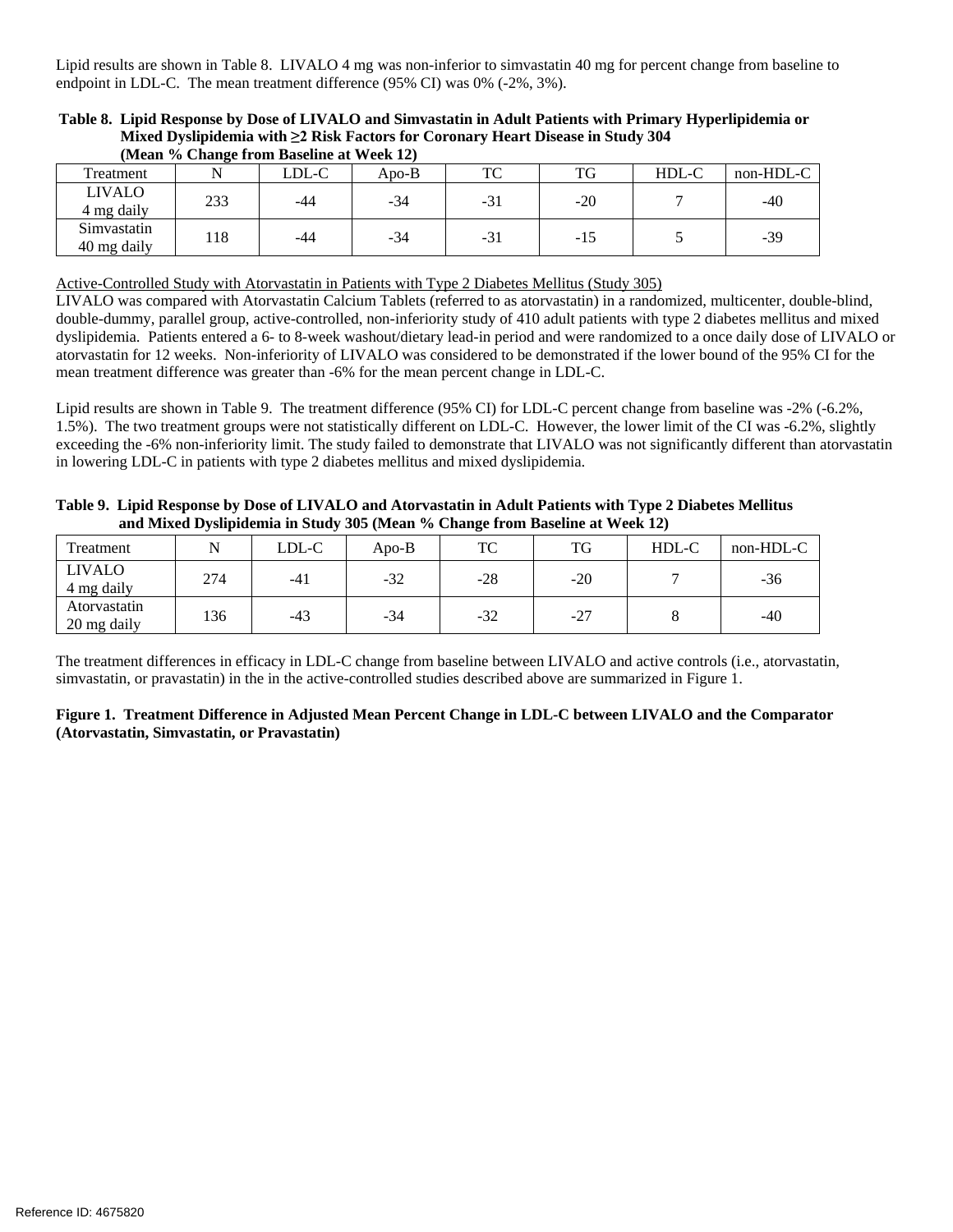Lipid results are shown in Table 8. LIVALO 4 mg was non-inferior to simvastatin 40 mg for percent change from baseline to endpoint in LDL-C. The mean treatment difference (95% CI) was 0% (-2%, 3%).

|                             |     | (Mean % Change from Baseline at Week 12) |       |       |        |       |           |
|-----------------------------|-----|------------------------------------------|-------|-------|--------|-------|-----------|
| Treatment                   |     | LDL-C                                    | Apo-B | TC    | TG     | HDL-C | non-HDL-C |
| <b>LIVALO</b><br>4 mg daily | 233 | -44                                      | -34   | $-31$ | $-20$  |       | -40       |
| Simvastatin<br>40 mg daily  | .18 | -44                                      | -34   | -31   | $-1.5$ |       | -39       |

 **Table 8. Lipid Response by Dose of LIVALO and Simvastatin in Adult Patients with Primary Hyperlipidemia or Mixed Dyslipidemia with ≥2 Risk Factors for Coronary Heart Disease in Study 304** 

#### Active-Controlled Study with Atorvastatin in Patients with Type 2 Diabetes Mellitus (Study 305)

 LIVALO was compared with Atorvastatin Calcium Tablets (referred to as atorvastatin) in a randomized, multicenter, double-blind, double-dummy, parallel group, active-controlled, non-inferiority study of 410 adult patients with type 2 diabetes mellitus and mixed dyslipidemia. Patients entered a 6- to 8-week washout/dietary lead-in period and were randomized to a once daily dose of LIVALO or atorvastatin for 12 weeks. Non-inferiority of LIVALO was considered to be demonstrated if the lower bound of the 95% CI for the mean treatment difference was greater than -6% for the mean percent change in LDL-C.

 Lipid results are shown in Table 9. The treatment difference (95% CI) for LDL-C percent change from baseline was -2% (-6.2%, 1.5%). The two treatment groups were not statistically different on LDL-C. However, the lower limit of the CI was -6.2%, slightly exceeding the -6% non-inferiority limit. The study failed to demonstrate that LIVALO was not significantly different than atorvastatin in lowering LDL-C in patients with type 2 diabetes mellitus and mixed dyslipidemia.

| Table 9. Lipid Response by Dose of LIVALO and Atorvastatin in Adult Patients with Type 2 Diabetes Mellitus |
|------------------------------------------------------------------------------------------------------------|
| and Mixed Dyslipidemia in Study 305 (Mean % Change from Baseline at Week 12)                               |

| Treatment                   | N   | LDL-C | Apo-B | TC    | TG    | HDL-C | non-HDL-C |
|-----------------------------|-----|-------|-------|-------|-------|-------|-----------|
| <b>LIVALO</b><br>4 mg daily | 274 | $-41$ | $-32$ | $-28$ | $-20$ |       | -36       |
| Atorvastatin<br>20 mg daily | 136 | $-43$ | $-34$ | $-32$ | $-27$ |       | $-40$     |

 The treatment differences in efficacy in LDL-C change from baseline between LIVALO and active controls (i.e., atorvastatin, simvastatin, or pravastatin) in the in the active-controlled studies described above are summarized in Figure 1.

### **Figure 1. Treatment Difference in Adjusted Mean Percent Change in LDL-C between LIVALO and the Comparator (Atorvastatin, Simvastatin, or Pravastatin)**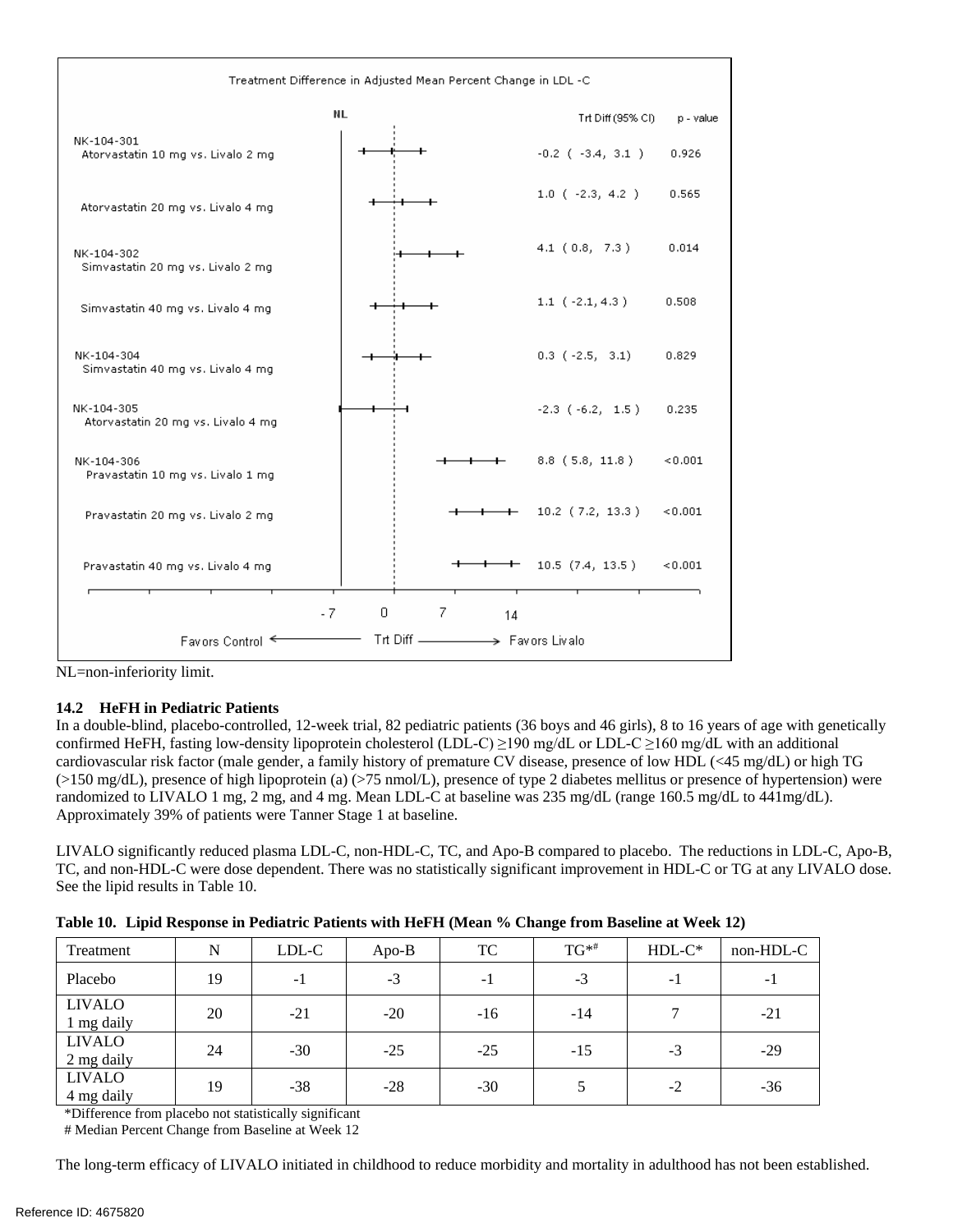

NL=non-inferiority limit.

# **14.2 HeFH in Pediatric Patients**

 In a double-blind, placebo-controlled, 12-week trial, 82 pediatric patients (36 boys and 46 girls), 8 to 16 years of age with genetically confirmed HeFH, fasting low-density lipoprotein cholesterol (LDL-C) ≥190 mg/dL or LDL-C ≥160 mg/dL with an additional cardiovascular risk factor (male gender, a family history of premature CV disease, presence of low HDL (<45 mg/dL) or high TG (>150 mg/dL), presence of high lipoprotein (a) (>75 nmol/L), presence of type 2 diabetes mellitus or presence of hypertension) were randomized to LIVALO 1 mg, 2 mg, and 4 mg. Mean LDL-C at baseline was 235 mg/dL (range 160.5 mg/dL to 441mg/dL). Approximately 39% of patients were Tanner Stage 1 at baseline.

 LIVALO significantly reduced plasma LDL-C, non-HDL-C, TC, and Apo-B compared to placebo. The reductions in LDL-C, Apo-B, TC, and non-HDL-C were dose dependent. There was no statistically significant improvement in HDL-C or TG at any LIVALO dose. See the lipid results in Table 10.

| Treatment                     | N  | LDL-C | Apo-B | TC    | $TG^{**}$ | $HDL-C*$ | non-HDL-C |
|-------------------------------|----|-------|-------|-------|-----------|----------|-----------|
| Placebo                       | 19 | -1    | $-3$  | -1    | $-3$      | - 1      | $-1$      |
| <b>LIVALO</b><br>1 mg daily   | 20 | $-21$ | $-20$ | $-16$ | -14       |          | $-21$     |
| <b>LIVALO</b><br>$2$ mg daily | 24 | $-30$ | $-25$ | $-25$ | $-15$     | $-3$     | $-29$     |
| <b>LIVALO</b><br>4 mg daily   | 19 | $-38$ | $-28$ | $-30$ |           | $-2$     | $-36$     |

 **Table 10. Lipid Response in Pediatric Patients with HeFH (Mean % Change from Baseline at Week 12)** 

\*Difference from placebo not statistically significant

# Median Percent Change from Baseline at Week 12

The long-term efficacy of LIVALO initiated in childhood to reduce morbidity and mortality in adulthood has not been established.